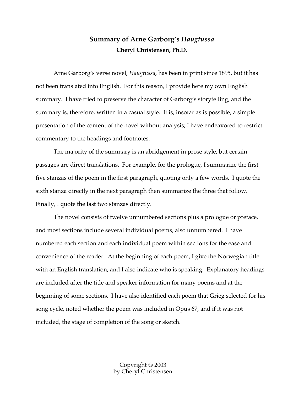# **Summary of Arne Garborg's** *Haugtussa* **Cheryl Christensen, Ph.D.**

Arne Garborg's verse novel, *Haugtussa*, has been in print since 1895, but it has not been translated into English. For this reason, I provide here my own English summary. I have tried to preserve the character of Garborg's storytelling, and the summary is, therefore, written in a casual style. It is, insofar as is possible, a simple presentation of the content of the novel without analysis; I have endeavored to restrict commentary to the headings and footnotes.

The majority of the summary is an abridgement in prose style, but certain passages are direct translations. For example, for the prologue, I summarize the first five stanzas of the poem in the first paragraph, quoting only a few words. I quote the sixth stanza directly in the next paragraph then summarize the three that follow. Finally, I quote the last two stanzas directly.

The novel consists of twelve unnumbered sections plus a prologue or preface, and most sections include several individual poems, also unnumbered. I have numbered each section and each individual poem within sections for the ease and convenience of the reader. At the beginning of each poem, I give the Norwegian title with an English translation, and I also indicate who is speaking. Explanatory headings are included after the title and speaker information for many poems and at the beginning of some sections. I have also identified each poem that Grieg selected for his song cycle, noted whether the poem was included in Opus 67, and if it was not included, the stage of completion of the song or sketch.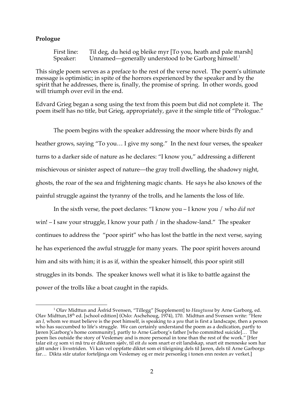### **Prologue**

First line: Til deg, du heid og bleike myr [To you, heath and pale marsh] Speaker: Unnamed—generally understood to be Garborg himself.<sup>1</sup>

This single poem serves as a preface to the rest of the verse novel. The poem's ultimate message is optimistic; in spite of the horrors experienced by the speaker and by the spirit that he addresses, there is, finally, the promise of spring. In other words, good will triumph over evil in the end.

Edvard Grieg began a song using the text from this poem but did not complete it. The poem itself has no title, but Grieg, appropriately, gave it the simple title of "Prologue."

The poem begins with the speaker addressing the moor where birds fly and heather grows, saying "To you… I give my song." In the next four verses, the speaker turns to a darker side of nature as he declares: "I know you," addressing a different mischievous or sinister aspect of nature—the gray troll dwelling, the shadowy night, ghosts, the roar of the sea and frightening magic chants. He says he also knows of the painful struggle against the tyranny of the trolls, and he laments the loss of life.

In the sixth verse, the poet declares: "I know you – I know you / who *did not* win! – I saw your struggle, I know your path / in the shadow-land." The speaker continues to address the "poor spirit" who has lost the battle in the next verse, saying he has experienced the awful struggle for many years. The poor spirit hovers around him and sits with him; it is as if, within the speaker himself, this poor spirit still struggles in its bonds. The speaker knows well what it is like to battle against the power of the trolls like a boat caught in the rapids.

 <sup>1</sup> Olav Midttun and Åsfrid Svensen, "Tillegg" [Supplement] to *Haugtussa* by Arne Garborg, ed. Olav Midttun,18th ed. [school edition] (Oslo: Aschehoug, 1974), 170. Midttun and Svensen write: "Here an *I,* whom we must believe is the poet himself, is speaking to a *you* that is first a landscape, then a person who has succumbed to life's struggle. We can certainly understand the poem as a dedication, partly to Jæren [Garborg's home community], partly to Arne Garborg's father [who committed suicide]… The poem lies outside the story of Veslemøy and is more personal in tone than the rest of the work." [Her talar eit *eg* som vi må tru er diktaren sjølv, til eit *du* som snart er eit landskap, snart eit menneske som har gått under i livsstriden. Vi kan vel oppfatte diktet som ei tileigning dels til Jæren, dels til Arne Garborgs far… Dikta står utafor forteljinga om Veslemøy og er meir personleg i tonen enn resten av verket.]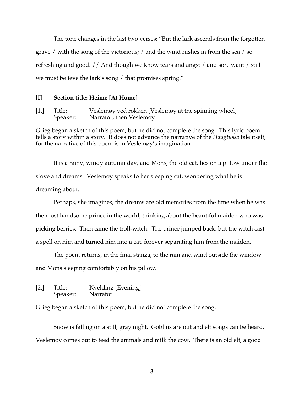The tone changes in the last two verses: "But the lark ascends from the forgotten grave / with the song of the victorious; / and the wind rushes in from the sea / so refreshing and good. // And though we know tears and angst / and sore want / still we must believe the lark's song / that promises spring."

#### **[I] Section title: Heime [At Home]**

[1.] Title: Veslemøy ved rokken [Veslemøy at the spinning wheel] Speaker: Narrator, then Veslemøy

Grieg began a sketch of this poem, but he did not complete the song. This lyric poem tells a story within a story. It does not advance the narrative of the *Haugtussa* tale itself, for the narrative of this poem is in Veslemøy's imagination.

It is a rainy, windy autumn day, and Mons, the old cat, lies on a pillow under the stove and dreams. Veslemøy speaks to her sleeping cat, wondering what he is dreaming about.

Perhaps, she imagines, the dreams are old memories from the time when he was the most handsome prince in the world, thinking about the beautiful maiden who was picking berries. Then came the troll-witch. The prince jumped back, but the witch cast a spell on him and turned him into a cat, forever separating him from the maiden.

The poem returns, in the final stanza, to the rain and wind outside the window and Mons sleeping comfortably on his pillow.

[2.] Title: Kvelding [Evening] Speaker: Narrator

Grieg began a sketch of this poem, but he did not complete the song.

Snow is falling on a still, gray night. Goblins are out and elf songs can be heard. Veslemøy comes out to feed the animals and milk the cow. There is an old elf, a good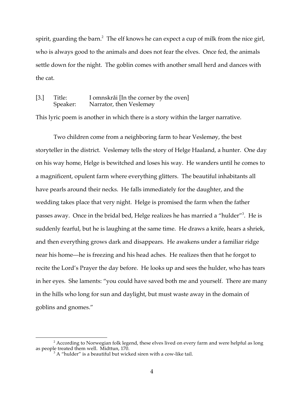spirit, guarding the barn. $^2$  The elf knows he can expect a cup of milk from the nice girl, who is always good to the animals and does not fear the elves. Once fed, the animals settle down for the night. The goblin comes with another small herd and dances with the cat.

## [3.] Title: I omnskråi [In the corner by the oven] Speaker: Narrator, then Veslemøy

This lyric poem is another in which there is a story within the larger narrative.

Two children come from a neighboring farm to hear Veslemøy, the best storyteller in the district. Veslemøy tells the story of Helge Haaland, a hunter. One day on his way home, Helge is bewitched and loses his way. He wanders until he comes to a magnificent, opulent farm where everything glitters. The beautiful inhabitants all have pearls around their necks. He falls immediately for the daughter, and the wedding takes place that very night. Helge is promised the farm when the father passes away. Once in the bridal bed, Helge realizes he has married a "hulder"<sup>3</sup>. He is suddenly fearful, but he is laughing at the same time. He draws a knife, hears a shriek, and then everything grows dark and disappears. He awakens under a familiar ridge near his home—he is freezing and his head aches. He realizes then that he forgot to recite the Lord's Prayer the day before. He looks up and sees the hulder, who has tears in her eyes. She laments: "you could have saved both me and yourself. There are many in the hills who long for sun and daylight, but must waste away in the domain of goblins and gnomes."

 $^{\rm 2}$  According to Norwegian folk legend, these elves lived on every farm and were helpful as long as people treated them well. Midttun, 170.

 $3A$  "hulder" is a beautiful but wicked siren with a cow-like tail.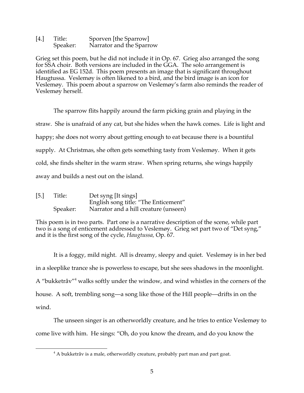| [4.] | Title:   | Sporven [the Sparrow]    |
|------|----------|--------------------------|
|      | Speaker: | Narrator and the Sparrow |

Grieg set this poem, but he did not include it in Op. 67. Grieg also arranged the song for SSA choir. Both versions are included in the GGA. The solo arrangement is identified as EG 152d. This poem presents an image that is significant throughout Haugtussa. Veslemøy is often likened to a bird, and the bird image is an icon for Veslemøy. This poem about a sparrow on Veslemøy's farm also reminds the reader of Veslemøy herself.

The sparrow flits happily around the farm picking grain and playing in the straw. She is unafraid of any cat, but she hides when the hawk comes. Life is light and happy; she does not worry about getting enough to eat because there is a bountiful supply. At Christmas, she often gets something tasty from Veslemøy. When it gets cold, she finds shelter in the warm straw. When spring returns, she wings happily away and builds a nest out on the island.

| [5.] | Title:   | Det syng [It sings]                   |
|------|----------|---------------------------------------|
|      |          | English song title: "The Enticement"  |
|      | Speaker: | Narrator and a hill creature (unseen) |

This poem is in two parts. Part one is a narrative description of the scene, while part two is a song of enticement addressed to Veslemøy. Grieg set part two of "Det syng," and it is the first song of the cycle, *Haugtussa,* Op. 67.

It is a foggy, mild night. All is dreamy, sleepy and quiet. Veslemøy is in her bed in a sleeplike trance she is powerless to escape, but she sees shadows in the moonlight. A "bukketråv"4 walks softly under the window, and wind whistles in the corners of the house. A soft, trembling song—a song like those of the Hill people—drifts in on the wind.

The unseen singer is an otherworldly creature, and he tries to entice Veslemøy to come live with him. He sings: "Oh, do you know the dream, and do you know the

 $4$  A bukketråv is a male, otherworldly creature, probably part man and part goat.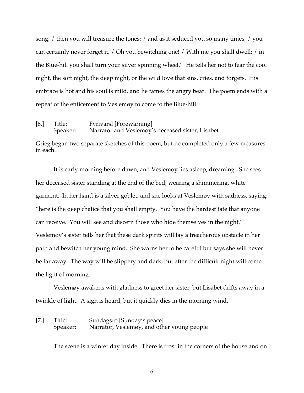song, / then you will treasure the tones; / and as it seduced you so many times, / you can certainly never forget it. / Oh you bewitching one! / With me you shall dwell; / in the Blue-hill you shall turn your silver spinning wheel." He tells her not to fear the cool night, the soft night, the deep night, or the wild love that sins, cries, and forgets. His embrace is hot and his soul is mild, and he tames the angry bear. The poem ends with a repeat of the enticement to Veslemøy to come to the Blue-hill.

[6.] Title: Fyrivarsl [Forewarning] Speaker: Narrator and Veslemøy's deceased sister, Lisabet

Grieg began two separate sketches of this poem, but he completed only a few measures in each.

It is early morning before dawn, and Veslemøy lies asleep, dreaming. She sees her deceased sister standing at the end of the bed, wearing a shimmering, white garment. In her hand is a silver goblet, and she looks at Veslemøy with sadness, saying: "here is the deep chalice that you shall empty. You have the hardest fate that anyone can receive. You will see and discern those who hide themselves in the night." Veslemøy's sister tells her that these dark spirits will lay a treacherous obstacle in her path and bewitch her young mind. She warns her to be careful but says she will never be far away. The way will be slippery and dark, but after the difficult night will come the light of morning.

Veslemøy awakens with gladness to greet her sister, but Lisabet drifts away in a twinkle of light. A sigh is heard, but it quickly dies in the morning wind.

[7.] Title: Sundagsro [Sunday's peace] Speaker: Narrator, Veslemøy, and other young people

The scene is a winter day inside. There is frost in the corners of the house and on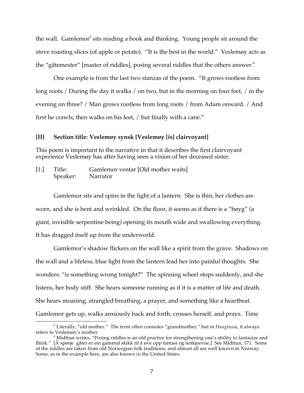the wall. Gamlemor<sup>5</sup> sits reading a book and thinking. Young people sit around the stove roasting slices (of apple or potato). "It is the best in the world." Veslemøy acts as the "gåtemester" [master of riddles], posing several riddles that the others answer. $6$ 

One example is from the last two stanzas of the poem. "It grows rootless from long roots./ During the day it walks / on two, but in the morning on four feet, / in the evening on three? / Man grows rootless from long roots / from Adam onward. / And first he crawls; then walks on his feet, / but finally with a cane."

#### **[II] Section title: Veslemøy synsk [Veslemøy [is] clairvoyant]**

This poem is important to the narrative in that it describes the first clairvoyant experience Veslemøy has after having seen a vision of her deceased sister.

[1.] Title: Gamlemor ventar [Old mother waits] Speaker: Narrator

Gamlemor sits and spins in the light of a lantern. She is thin, her clothes are worn, and she is bent and wrinkled. On the floor, it seems as if there is a "bøyg" (a giant, invisible serpentine being) opening its mouth wide and swallowing everything. It has dragged itself up from the underworld.

Gamlemor's shadow flickers on the wall like a spirit from the grave. Shadows on the wall and a lifeless, blue light from the lantern lead her into painful thoughts. She wonders: "is something wrong tonight?" The spinning wheel stops suddenly, and she listens, her body stiff. She hears someone running as if it is a matter of life and death. She hears moaning, strangled breathing, a prayer, and something like a heartbeat. Gamlemor gets up, walks anxiously back and forth, crosses herself, and prays. Time

 $^5$  Literally, "old mother." The term often connotes "grandmother," but in  $Haugtussa$ , it always refers to Veslemøy's mother.

refers to Veslemøy's mother.<br><sup>6</sup> Midttun writes, "Posing riddles is an old practice for strengthening one's ability to fantasize and think." [Å spørje gåter er ein gammal skikk til å øve opp fantasi og tenkjeevne.] See Midttun, 171. Some of the riddles are taken from old Norwegian folk traditions, and almost all are well known in Norway. Some, as in the example here, are also known in the United States.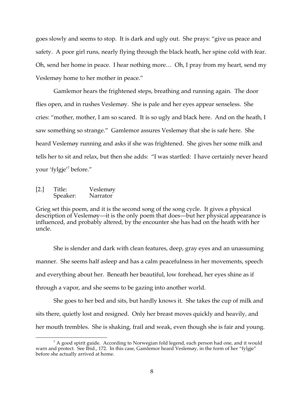goes slowly and seems to stop. It is dark and ugly out. She prays: "give us peace and safety. A poor girl runs, nearly flying through the black heath, her spine cold with fear. Oh, send her home in peace. I hear nothing more… Oh, I pray from my heart, send my Veslemøy home to her mother in peace."

Gamlemor hears the frightened steps, breathing and running again. The door flies open, and in rushes Veslemøy. She is pale and her eyes appear senseless. She cries: "mother, mother, I am so scared. It is so ugly and black here. And on the heath, I saw something so strange." Gamlemor assures Veslemøy that she is safe here. She heard Veslemøy running and asks if she was frightened. She gives her some milk and tells her to sit and relax, but then she adds: "I was startled: I have certainly never heard your 'fylgje'<sup>7</sup> before."

[2.] Title: Veslemøy Speaker: Narrator

Grieg set this poem, and it is the second song of the song cycle. It gives a physical description of Veslemøy—it is the only poem that does—but her physical appearance is influenced, and probably altered, by the encounter she has had on the heath with her uncle.

She is slender and dark with clean features, deep, gray eyes and an unassuming manner. She seems half asleep and has a calm peacefulness in her movements, speech and everything about her. Beneath her beautiful, low forehead, her eyes shine as if through a vapor, and she seems to be gazing into another world.

She goes to her bed and sits, but hardly knows it. She takes the cup of milk and sits there, quietly lost and resigned. Only her breast moves quickly and heavily, and her mouth trembles. She is shaking, frail and weak, even though she is fair and young.

 $^7$  A good spirit guide. According to Norwegian fold legend, each person had one, and it would warn and protect. See Ibid., 172. In this case, Gamlemor heard Veslemøy, in the form of her "fylgje" before she actually arrived at home.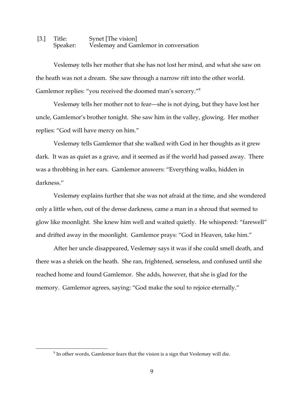### [3.] Title: Synet [The vision] Speaker: Veslemøy and Gamlemor in conversation

Veslemøy tells her mother that she has not lost her mind, and what she saw on the heath was not a dream. She saw through a narrow rift into the other world. Gamlemor replies: "you received the doomed man's sorcery."8

Veslemøy tells her mother not to fear—she is not dying, but they have lost her uncle, Gamlemor's brother tonight. She saw him in the valley, glowing. Her mother replies: "God will have mercy on him."

Veslemøy tells Gamlemor that she walked with God in her thoughts as it grew dark. It was as quiet as a grave, and it seemed as if the world had passed away. There was a throbbing in her ears. Gamlemor answers: "Everything walks, hidden in darkness."

Veslemøy explains further that she was not afraid at the time, and she wondered only a little when, out of the dense darkness, came a man in a shroud that seemed to glow like moonlight. She knew him well and waited quietly. He whispered: "farewell" and drifted away in the moonlight. Gamlemor prays: "God in Heaven, take him."

After her uncle disappeared, Veslemøy says it was if she could smell death, and there was a shriek on the heath. She ran, frightened, senseless, and confused until she reached home and found Gamlemor. She adds, however, that she is glad for the memory. Gamlemor agrees, saying: "God make the soul to rejoice eternally."

<sup>&</sup>lt;sup>8</sup> In other words, Gamlemor fears that the vision is a sign that Veslemøy will die.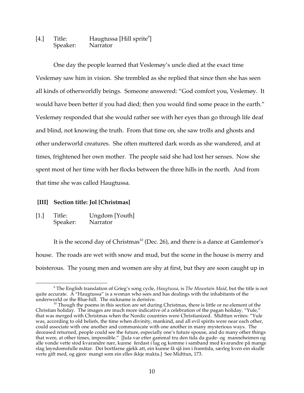### [4.] Title: Haugtussa [Hill sprite<sup>9</sup>] Speaker: Narrator

One day the people learned that Veslemøy's uncle died at the exact time Veslemøy saw him in vision. She trembled as she replied that since then she has seen all kinds of otherworldly beings. Someone answered: "God comfort you, Veslemøy. It would have been better if you had died; then you would find some peace in the earth." Veslemøy responded that she would rather see with her eyes than go through life deaf and blind, not knowing the truth. From that time on, she saw trolls and ghosts and other underworld creatures. She often muttered dark words as she wandered, and at times, frightened her own mother. The people said she had lost her senses. Now she spent most of her time with her flocks between the three hills in the north. And from that time she was called Haugtussa.

### **[III] Section title: Jol [Christmas]**

[1.] Title: Ungdom [Youth]<br>Speaker: Narrator Speaker:

It is the second day of Christmas<sup>10</sup> (Dec. 26), and there is a dance at Gamlemor's house. The roads are wet with snow and mud, but the scene in the house is merry and boisterous. The young men and women are shy at first, but they are soon caught up in

 <sup>9</sup> The English translation of Grieg's song cycle, *Haugtussa*, is *The Mountain Maid*, but the title is not quite accurate. A "Haugtussa" is a woman who sees and has dealings with the inhabitants of the underworld or the Blue-hill. The nickname is derisive.

 $10$  Though the poems in this section are set during Christmas, there is little or no element of the Christian holiday. The images are much more indicative of a celebration of the pagan holiday, "Yule," that was merged with Christmas when the Nordic countries were Christianized. Midttun writes: "Yule was, according to old beliefs, the time when divinity, mankind, and all evil spirits were near each other, could associate with one another and communicate with one another in many mysterious ways. The deceased returned, people could see the future, especially one's future spouse, and do many other things that were, at other times, impossible." [Jula var etter gammal tru den tida da gude- og manneheimen og alle vonde vette stod kvarandre nær, kunne ferdast i lag og komme i samband med kvarandre på mange slag løyndomsfulle måtar. Dei bortfarne gjekk att, ein kunne få sjå inn i framtida, særleg kven ein skulle verte gift med, og gjere mangt som ein elles ikkje makta.] See Midttun, 173.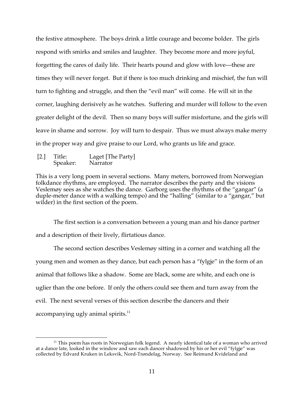the festive atmosphere. The boys drink a little courage and become bolder. The girls respond with smirks and smiles and laughter. They become more and more joyful, forgetting the cares of daily life. Their hearts pound and glow with love—these are times they will never forget. But if there is too much drinking and mischief, the fun will turn to fighting and struggle, and then the "evil man" will come. He will sit in the corner, laughing derisively as he watches. Suffering and murder will follow to the even greater delight of the devil. Then so many boys will suffer misfortune, and the girls will leave in shame and sorrow. Joy will turn to despair. Thus we must always make merry in the proper way and give praise to our Lord, who grants us life and grace.

[2.] Title: Laget [The Party] Speaker: Narrator

This is a very long poem in several sections. Many meters, borrowed from Norwegian folkdance rhythms, are employed. The narrator describes the party and the visions Veslemøy sees as she watches the dance. Garborg uses the rhythms of the "gangar" (a duple-meter dance with a walking tempo) and the "halling" (similar to a "gangar," but wilder) in the first section of the poem.

The first section is a conversation between a young man and his dance partner and a description of their lively, flirtatious dance.

The second section describes Veslemøy sitting in a corner and watching all the young men and women as they dance, but each person has a "fylgje" in the form of an animal that follows like a shadow. Some are black, some are white, and each one is uglier than the one before. If only the others could see them and turn away from the evil. The next several verses of this section describe the dancers and their accompanying ugly animal spirits.<sup>11</sup>

 $11$  This poem has roots in Norwegian folk legend. A nearly identical tale of a woman who arrived at a dance late, looked in the window and saw each dancer shadowed by his or her evil "fylgje" was collected by Edvard Kruken in Leksvik, Nord-Trøndelag, Norway. See Reimund Kvideland and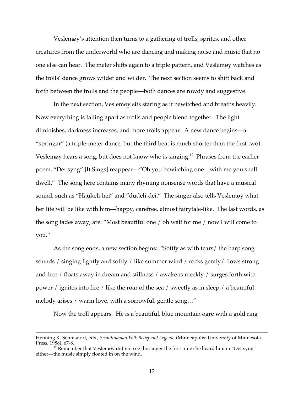Veslemøy's attention then turns to a gathering of trolls, sprites, and other creatures from the underworld who are dancing and making noise and music that no one else can hear. The meter shifts again to a triple pattern, and Veslemøy watches as the trolls' dance grows wilder and wilder. The next section seems to shift back and forth between the trolls and the people—both dances are rowdy and suggestive.

In the next section, Veslemøy sits staring as if bewitched and breaths heavily. Now everything is falling apart as trolls and people blend together. The light diminishes, darkness increases, and more trolls appear. A new dance begins—a "springar" (a triple-meter dance, but the third beat is much shorter than the first two). Veslemøy hears a song, but does not know who is singing.<sup>12</sup> Phrases from the earlier poem, "Det syng" [It Sings] reappear—"Oh you bewitching one…with me you shall dwell." The song here contains many rhyming nonsense words that have a musical sound, such as "Haukeli-hei" and "dudeli-dei." The singer also tells Veslemøy what her life will be like with him—happy, carefree, almost fairytale-like. The last words, as the song fades away, are: "Most beautiful one / oh wait for me / now I will come to you."

As the song ends, a new section begins: "Softly as with tears/ the harp song sounds / singing lightly and softly / like summer wind / rocks gently/ flows strong and free / floats away in dream and stillness / awakens meekly / surges forth with power / ignites into fire / like the roar of the sea / sweetly as in sleep / a beautiful melody arises / warm love, with a sorrowful, gentle song…"

Now the troll appears. He is a beautiful, blue mountain ogre with a gold ring

Henning K. Sehmsdorf, eds., *Scandinavian Folk Belief and Legend*, (Minneapolis: University of Minnesota

<sup>&</sup>lt;sup>12</sup> Remember that Veslemøy did not see the singer the first time she heard him in "Det syng" either—the music simply floated in on the wind.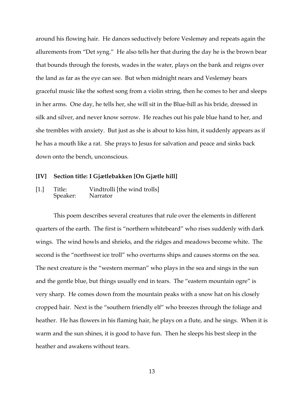around his flowing hair. He dances seductively before Veslemøy and repeats again the allurements from "Det syng." He also tells her that during the day he is the brown bear that bounds through the forests, wades in the water, plays on the bank and reigns over the land as far as the eye can see. But when midnight nears and Veslemøy hears graceful music like the softest song from a violin string, then he comes to her and sleeps in her arms. One day, he tells her, she will sit in the Blue-hill as his bride, dressed in silk and silver, and never know sorrow. He reaches out his pale blue hand to her, and she trembles with anxiety. But just as she is about to kiss him, it suddenly appears as if he has a mouth like a rat. She prays to Jesus for salvation and peace and sinks back down onto the bench, unconscious.

#### **[IV] Section title: I Gjætlebakken [On Gjætle hill]**

[1.] Title: Vindtrolli [the wind trolls] Speaker: Narrator

This poem describes several creatures that rule over the elements in different quarters of the earth. The first is "northern whitebeard" who rises suddenly with dark wings. The wind howls and shrieks, and the ridges and meadows become white. The second is the "northwest ice troll" who overturns ships and causes storms on the sea. The next creature is the "western merman" who plays in the sea and sings in the sun and the gentle blue, but things usually end in tears. The "eastern mountain ogre" is very sharp. He comes down from the mountain peaks with a snow hat on his closely cropped hair. Next is the "southern friendly elf" who breezes through the foliage and heather. He has flowers in his flaming hair, he plays on a flute, and he sings. When it is warm and the sun shines, it is good to have fun. Then he sleeps his best sleep in the heather and awakens without tears.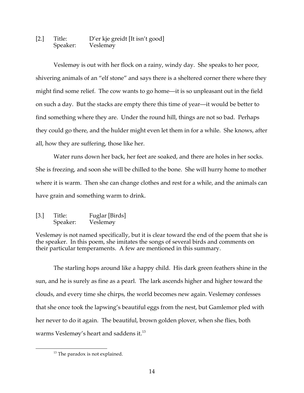# [2.] Title: D'er kje greidt [It isn't good]<br>Speaker: Veslemøy Veslemøy

Veslemøy is out with her flock on a rainy, windy day. She speaks to her poor, shivering animals of an "elf stone" and says there is a sheltered corner there where they might find some relief. The cow wants to go home—it is so unpleasant out in the field on such a day. But the stacks are empty there this time of year—it would be better to find something where they are. Under the round hill, things are not so bad. Perhaps they could go there, and the hulder might even let them in for a while. She knows, after all, how they are suffering, those like her.

Water runs down her back, her feet are soaked, and there are holes in her socks. She is freezing, and soon she will be chilled to the bone. She will hurry home to mother where it is warm. Then she can change clothes and rest for a while, and the animals can have grain and something warm to drink.

[3.] Title: Fuglar [Birds] Speaker: Veslemøy

Veslemøy is not named specifically, but it is clear toward the end of the poem that she is the speaker. In this poem, she imitates the songs of several birds and comments on their particular temperaments. A few are mentioned in this summary.

The starling hops around like a happy child. His dark green feathers shine in the sun, and he is surely as fine as a pearl. The lark ascends higher and higher toward the clouds, and every time she chirps, the world becomes new again. Veslemøy confesses that she once took the lapwing's beautiful eggs from the nest, but Gamlemor pled with her never to do it again. The beautiful, brown golden plover, when she flies, both warms Veslemøy's heart and saddens it.<sup>13</sup>

<sup>&</sup>lt;sup>13</sup> The paradox is not explained.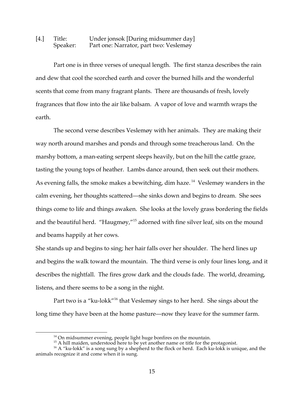### [4.] Title: Under jonsok [During midsummer day] Speaker: Part one: Narrator, part two: Veslemøy

Part one is in three verses of unequal length. The first stanza describes the rain and dew that cool the scorched earth and cover the burned hills and the wonderful scents that come from many fragrant plants. There are thousands of fresh, lovely fragrances that flow into the air like balsam. A vapor of love and warmth wraps the earth.

The second verse describes Veslemøy with her animals. They are making their way north around marshes and ponds and through some treacherous land. On the marshy bottom, a man-eating serpent sleeps heavily, but on the hill the cattle graze, tasting the young tops of heather. Lambs dance around, then seek out their mothers. As evening falls, the smoke makes a bewitching, dim haze.<sup>14</sup> Veslemøy wanders in the calm evening, her thoughts scattered—she sinks down and begins to dream. She sees things come to life and things awaken. She looks at the lovely grass bordering the fields and the beautiful herd. "Haugmøy,"<sup>15</sup> adorned with fine silver leaf, sits on the mound and beams happily at her cows.

She stands up and begins to sing; her hair falls over her shoulder. The herd lines up and begins the walk toward the mountain. The third verse is only four lines long, and it describes the nightfall. The fires grow dark and the clouds fade. The world, dreaming, listens, and there seems to be a song in the night.

Part two is a "ku-lokk"<sup>16</sup> that Veslemøy sings to her herd. She sings about the long time they have been at the home pasture—now they leave for the summer farm.

<sup>&</sup>lt;sup>14</sup> On midsummer evening, people light huge bonfires on the mountain.<br><sup>15</sup> A hill maiden, understood here to be yet another name or title for the protagonist.<br><sup>16</sup> A "ku-lokk" is a song sung by a shepherd to the flock or animals recognize it and come when it is sung.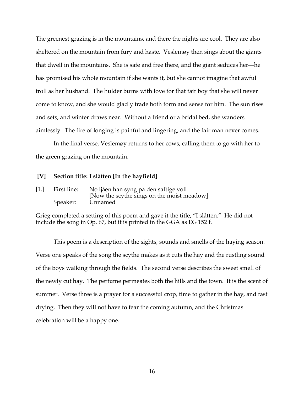The greenest grazing is in the mountains, and there the nights are cool. They are also sheltered on the mountain from fury and haste. Veslemøy then sings about the giants that dwell in the mountains. She is safe and free there, and the giant seduces her—he has promised his whole mountain if she wants it, but she cannot imagine that awful troll as her husband. The hulder burns with love for that fair boy that she will never come to know, and she would gladly trade both form and sense for him. The sun rises and sets, and winter draws near. Without a friend or a bridal bed, she wanders aimlessly. The fire of longing is painful and lingering, and the fair man never comes.

In the final verse, Veslemøy returns to her cows, calling them to go with her to the green grazing on the mountain.

#### **[V] Section title: I slåtten [In the hayfield]**

[1.] First line: No ljåen han syng på den saftige voll [Now the scythe sings on the moist meadow] Speaker: Unnamed

Grieg completed a setting of this poem and gave it the title, "I slåtten." He did not include the song in Op. 67, but it is printed in the GGA as EG 152 f.

This poem is a description of the sights, sounds and smells of the haying season. Verse one speaks of the song the scythe makes as it cuts the hay and the rustling sound of the boys walking through the fields. The second verse describes the sweet smell of the newly cut hay. The perfume permeates both the hills and the town. It is the scent of summer. Verse three is a prayer for a successful crop, time to gather in the hay, and fast drying. Then they will not have to fear the coming autumn, and the Christmas celebration will be a happy one.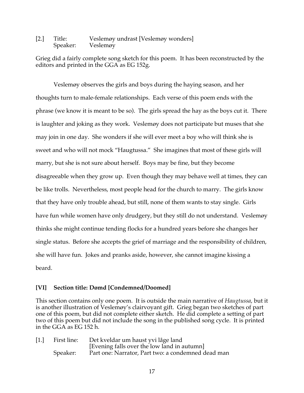[2.] Title: Veslemøy undrast [Veslemøy wonders] Speaker: Veslemøy

Grieg did a fairly complete song sketch for this poem. It has been reconstructed by the editors and printed in the GGA as EG 152g.

Veslemøy observes the girls and boys during the haying season, and her thoughts turn to male-female relationships. Each verse of this poem ends with the phrase (we know it is meant to be so). The girls spread the hay as the boys cut it. There is laughter and joking as they work. Veslemøy does not participate but muses that she may join in one day. She wonders if she will ever meet a boy who will think she is sweet and who will not mock "Haugtussa." She imagines that most of these girls will marry, but she is not sure about herself. Boys may be fine, but they become disagreeable when they grow up. Even though they may behave well at times, they can be like trolls. Nevertheless, most people head for the church to marry. The girls know that they have only trouble ahead, but still, none of them wants to stay single. Girls have fun while women have only drudgery, but they still do not understand. Veslemøy thinks she might continue tending flocks for a hundred years before she changes her single status. Before she accepts the grief of marriage and the responsibility of children, she will have fun. Jokes and pranks aside, however, she cannot imagine kissing a beard.

### **[VI] Section title: Dømd [Condemned/Doomed]**

This section contains only one poem. It is outside the main narrative of *Haugtussa*, but it is another illustration of Veslemøy's clairvoyant gift. Grieg began two sketches of part one of this poem, but did not complete either sketch. He did complete a setting of part two of this poem but did not include the song in the published song cycle. It is printed in the GGA as EG 152 h.

[1.] First line: Det kveldar um haust yvi låge land [Evening falls over the low land in autumn] Speaker: Part one: Narrator, Part two: a condemned dead man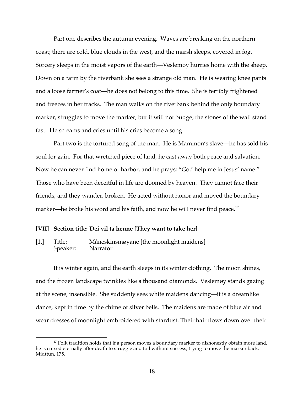Part one describes the autumn evening. Waves are breaking on the northern coast; there are cold, blue clouds in the west, and the marsh sleeps, covered in fog. Sorcery sleeps in the moist vapors of the earth—Veslemøy hurries home with the sheep. Down on a farm by the riverbank she sees a strange old man. He is wearing knee pants and a loose farmer's coat—he does not belong to this time. She is terribly frightened and freezes in her tracks. The man walks on the riverbank behind the only boundary marker, struggles to move the marker, but it will not budge; the stones of the wall stand fast. He screams and cries until his cries become a song.

Part two is the tortured song of the man. He is Mammon's slave—he has sold his soul for gain. For that wretched piece of land, he cast away both peace and salvation. Now he can never find home or harbor, and he prays: "God help me in Jesus' name." Those who have been deceitful in life are doomed by heaven. They cannot face their friends, and they wander, broken. He acted without honor and moved the boundary marker—he broke his word and his faith, and now he will never find peace.<sup>17</sup>

### **[VII] Section title: Dei vil ta henne [They want to take her]**

[1.] Title: Måneskinsmøyane [the moonlight maidens] Speaker: Narrator

It is winter again, and the earth sleeps in its winter clothing. The moon shines, and the frozen landscape twinkles like a thousand diamonds. Veslemøy stands gazing at the scene, insensible. She suddenly sees white maidens dancing—it is a dreamlike dance, kept in time by the chime of silver bells. The maidens are made of blue air and wear dresses of moonlight embroidered with stardust. Their hair flows down over their

 $17$  Folk tradition holds that if a person moves a boundary marker to dishonestly obtain more land, he is cursed eternally after death to struggle and toil without success, trying to move the marker back. Midttun, 175.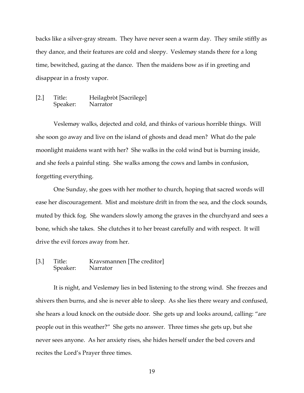backs like a silver-gray stream. They have never seen a warm day. They smile stiffly as they dance, and their features are cold and sleepy. Veslemøy stands there for a long time, bewitched, gazing at the dance. Then the maidens bow as if in greeting and disappear in a frosty vapor.

### [2.] Title: Heilagbròt [Sacrilege]<br>Speaker: Narrator Speaker:

Veslemøy walks, dejected and cold, and thinks of various horrible things. Will she soon go away and live on the island of ghosts and dead men? What do the pale moonlight maidens want with her? She walks in the cold wind but is burning inside, and she feels a painful sting. She walks among the cows and lambs in confusion, forgetting everything.

One Sunday, she goes with her mother to church, hoping that sacred words will ease her discouragement. Mist and moisture drift in from the sea, and the clock sounds, muted by thick fog. She wanders slowly among the graves in the churchyard and sees a bone, which she takes. She clutches it to her breast carefully and with respect. It will drive the evil forces away from her.

### [3.] Title: Kravsmannen [The creditor] Speaker: Narrator

It is night, and Veslemøy lies in bed listening to the strong wind. She freezes and shivers then burns, and she is never able to sleep. As she lies there weary and confused, she hears a loud knock on the outside door. She gets up and looks around, calling: "are people out in this weather?" She gets no answer. Three times she gets up, but she never sees anyone. As her anxiety rises, she hides herself under the bed covers and recites the Lord's Prayer three times.

19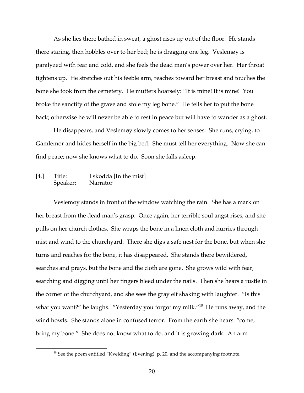As she lies there bathed in sweat, a ghost rises up out of the floor. He stands there staring, then hobbles over to her bed; he is dragging one leg. Veslemøy is paralyzed with fear and cold, and she feels the dead man's power over her. Her throat tightens up. He stretches out his feeble arm, reaches toward her breast and touches the bone she took from the cemetery. He mutters hoarsely: "It is mine! It is mine! You broke the sanctity of the grave and stole my leg bone." He tells her to put the bone back; otherwise he will never be able to rest in peace but will have to wander as a ghost.

He disappears, and Veslemøy slowly comes to her senses. She runs, crying, to Gamlemor and hides herself in the big bed. She must tell her everything. Now she can find peace; now she knows what to do. Soon she falls asleep.

[4.] Title: I skodda [In the mist]<br>Speaker: Narrator Speaker:

Veslemøy stands in front of the window watching the rain. She has a mark on her breast from the dead man's grasp. Once again, her terrible soul angst rises, and she pulls on her church clothes. She wraps the bone in a linen cloth and hurries through mist and wind to the churchyard. There she digs a safe nest for the bone, but when she turns and reaches for the bone, it has disappeared. She stands there bewildered, searches and prays, but the bone and the cloth are gone. She grows wild with fear, searching and digging until her fingers bleed under the nails. Then she hears a rustle in the corner of the churchyard, and she sees the gray elf shaking with laughter. "Is this what you want?" he laughs. "Yesterday you forgot my milk."<sup>18</sup> He runs away, and the wind howls. She stands alone in confused terror. From the earth she hears: "come, bring my bone." She does not know what to do, and it is growing dark. An arm

<sup>&</sup>lt;sup>18</sup> See the poem entitled "Kvelding" (Evening), p. 20, and the accompanying footnote.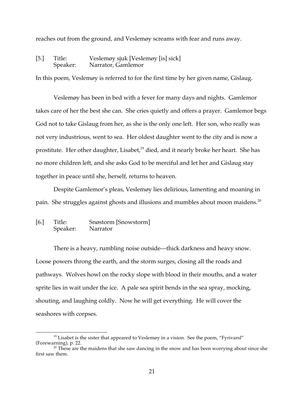reaches out from the ground, and Veslemøy screams with fear and runs away.

## [5.] Title: Veslemøy sjuk [Veslemøy [is] sick] Speaker: Narrator, Gamlemor

In this poem, Veslemøy is referred to for the first time by her given name, Gislaug.

Veslemøy has been in bed with a fever for many days and nights. Gamlemor takes care of her the best she can. She cries quietly and offers a prayer. Gamlemor begs God not to take Gislaug from her, as she is the only one left. Her son, who really was not very industrious, went to sea. Her oldest daughter went to the city and is now a prostitute. Her other daughter, Lisabet, $19$  died, and it nearly broke her heart. She has no more children left, and she asks God to be merciful and let her and Gislaug stay together in peace until she, herself, returns to heaven.

Despite Gamlemor's pleas, Veslemøy lies delirious, lamenting and moaning in pain. She struggles against ghosts and illusions and mumbles about moon maidens.<sup>20</sup>

### [6.] Title: Snøstorm [Snowstorm] Speaker: Narrator

There is a heavy, rumbling noise outside—thick darkness and heavy snow. Loose powers throng the earth, and the storm surges, closing all the roads and pathways. Wolves howl on the rocky slope with blood in their mouths, and a water sprite lies in wait under the ice. A pale sea spirit bends in the sea spray, mocking, shouting, and laughing coldly. Now he will get everything. He will cover the seashores with corpses.

<sup>&</sup>lt;sup>19</sup> Lisabet is the sister that appeared to Veslemøy in a vision. See the poem, "Fyrivarsl" (Forewarning), p. 22.

 $\frac{20}{20}$  These are the maidens that she saw dancing in the snow and has been worrying about since she first saw them.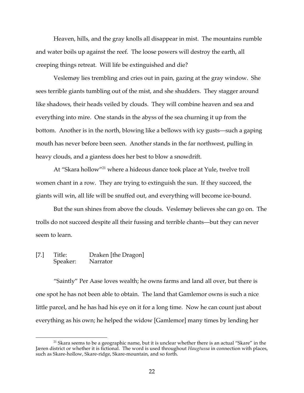Heaven, hills, and the gray knolls all disappear in mist. The mountains rumble and water boils up against the reef. The loose powers will destroy the earth, all creeping things retreat. Will life be extinguished and die?

Veslemøy lies trembling and cries out in pain, gazing at the gray window. She sees terrible giants tumbling out of the mist, and she shudders. They stagger around like shadows, their heads veiled by clouds. They will combine heaven and sea and everything into mire. One stands in the abyss of the sea churning it up from the bottom. Another is in the north, blowing like a bellows with icy gusts—such a gaping mouth has never before been seen. Another stands in the far northwest, pulling in heavy clouds, and a giantess does her best to blow a snowdrift.

At "Skara hollow"21 where a hideous dance took place at Yule, twelve troll women chant in a row. They are trying to extinguish the sun. If they succeed, the giants will win, all life will be snuffed out, and everything will become ice-bound.

But the sun shines from above the clouds. Veslemøy believes she can go on. The trolls do not succeed despite all their fussing and terrible chants—but they can never seem to learn.

### [7.] Title: Draken [the Dragon] Speaker: Narrator

"Saintly" Per Aase loves wealth; he owns farms and land all over, but there is one spot he has not been able to obtain. The land that Gamlemor owns is such a nice little parcel, and he has had his eye on it for a long time. Now he can count just about everything as his own; he helped the widow [Gamlemor] many times by lending her

<sup>&</sup>lt;sup>21</sup> Skara seems to be a geographic name, but it is unclear whether there is an actual "Skare" in the Jæren district or whether it is fictional. The word is used throughout *Haugtussa* in connection with places, such as Skare-hollow, Skare-ridge, Skare-mountain, and so forth.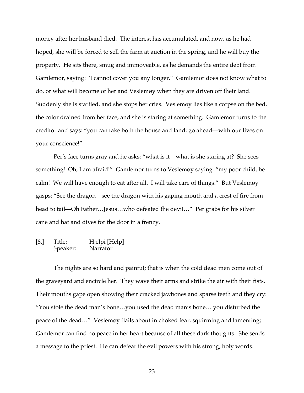money after her husband died. The interest has accumulated, and now, as he had hoped, she will be forced to sell the farm at auction in the spring, and he will buy the property. He sits there, smug and immoveable, as he demands the entire debt from Gamlemor, saying: "I cannot cover you any longer." Gamlemor does not know what to do, or what will become of her and Veslemøy when they are driven off their land. Suddenly she is startled, and she stops her cries. Veslemøy lies like a corpse on the bed, the color drained from her face, and she is staring at something. Gamlemor turns to the creditor and says: "you can take both the house and land; go ahead—with our lives on your conscience!"

Per's face turns gray and he asks: "what is it—what is she staring at? She sees something! Oh, I am afraid!" Gamlemor turns to Veslemøy saying: "my poor child, be calm! We will have enough to eat after all. I will take care of things." But Veslemøy gasps: "See the dragon—see the dragon with his gaping mouth and a crest of fire from head to tail—Oh Father…Jesus…who defeated the devil…" Per grabs for his silver cane and hat and dives for the door in a frenzy.

# [8.] Title: Hjelpi [Help]<br>Speaker: Narrator Speaker:

The nights are so hard and painful; that is when the cold dead men come out of the graveyard and encircle her. They wave their arms and strike the air with their fists. Their mouths gape open showing their cracked jawbones and sparse teeth and they cry: "You stole the dead man's bone…you used the dead man's bone… you disturbed the peace of the dead…" Veslemøy flails about in choked fear, squirming and lamenting; Gamlemor can find no peace in her heart because of all these dark thoughts. She sends a message to the priest. He can defeat the evil powers with his strong, holy words.

23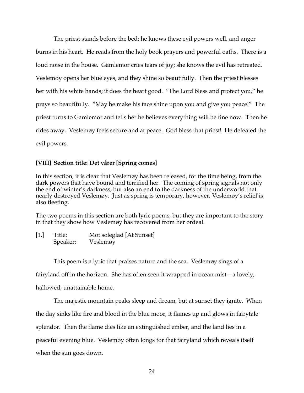The priest stands before the bed; he knows these evil powers well, and anger burns in his heart. He reads from the holy book prayers and powerful oaths. There is a loud noise in the house. Gamlemor cries tears of joy; she knows the evil has retreated. Veslemøy opens her blue eyes, and they shine so beautifully. Then the priest blesses her with his white hands; it does the heart good. "The Lord bless and protect you," he prays so beautifully. "May he make his face shine upon you and give you peace!" The priest turns to Gamlemor and tells her he believes everything will be fine now. Then he rides away. Veslemøy feels secure and at peace. God bless that priest! He defeated the evil powers.

### **[VIII] Section title: Det vårer [Spring comes]**

In this section, it is clear that Veslemøy has been released, for the time being, from the dark powers that have bound and terrified her. The coming of spring signals not only the end of winter's darkness, but also an end to the darkness of the underworld that nearly destroyed Veslemøy. Just as spring is temporary, however, Veslemøy's relief is also fleeting.

The two poems in this section are both lyric poems, but they are important to the story in that they show how Veslemøy has recovered from her ordeal.

[1.] Title: Mot soleglad [At Sunset]<br>Speaker: Veslemøy Veslemøy

This poem is a lyric that praises nature and the sea. Veslemøy sings of a

fairyland off in the horizon. She has often seen it wrapped in ocean mist—a lovely,

hallowed, unattainable home.

The majestic mountain peaks sleep and dream, but at sunset they ignite. When the day sinks like fire and blood in the blue moor, it flames up and glows in fairytale splendor. Then the flame dies like an extinguished ember, and the land lies in a peaceful evening blue. Veslemøy often longs for that fairyland which reveals itself when the sun goes down.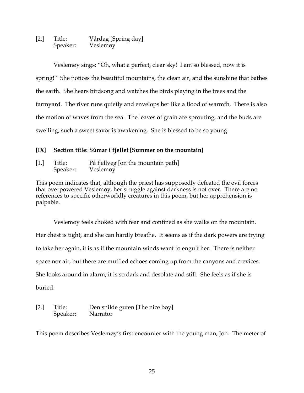[2.] Title: Vårdag [Spring day] Speaker: Veslemøy

Veslemøy sings: "Oh, what a perfect, clear sky! I am so blessed, now it is spring!" She notices the beautiful mountains, the clean air, and the sunshine that bathes the earth. She hears birdsong and watches the birds playing in the trees and the farmyard. The river runs quietly and envelops her like a flood of warmth. There is also the motion of waves from the sea. The leaves of grain are sprouting, and the buds are swelling; such a sweet savor is awakening. She is blessed to be so young.

# **[IX] Section title: Sùmar i fjellet [Summer on the mountain]**

[1.] Title: På fjellveg [on the mountain path] Speaker: Veslemøy

This poem indicates that, although the priest has supposedly defeated the evil forces that overpowered Veslemøy, her struggle against darkness is not over. There are no references to specific otherworldly creatures in this poem, but her apprehension is palpable.

Veslemøy feels choked with fear and confined as she walks on the mountain. Her chest is tight, and she can hardly breathe. It seems as if the dark powers are trying to take her again, it is as if the mountain winds want to engulf her. There is neither space nor air, but there are muffled echoes coming up from the canyons and crevices. She looks around in alarm; it is so dark and desolate and still. She feels as if she is buried.

[2.] Title: Den snilde guten [The nice boy] Speaker: Narrator

This poem describes Veslemøy's first encounter with the young man, Jon. The meter of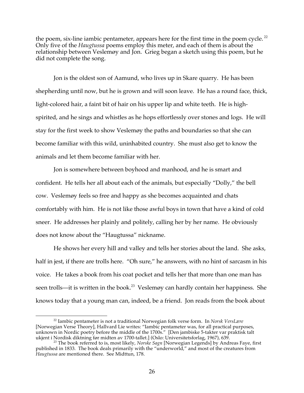the poem, six-line iambic pentameter, appears here for the first time in the poem cycle.<sup>22</sup> Only five of the *Haugtussa* poems employ this meter, and each of them is about the relationship between Veslemøy and Jon. Grieg began a sketch using this poem, but he did not complete the song.

Jon is the oldest son of Aamund, who lives up in Skare quarry. He has been shepherding until now, but he is grown and will soon leave. He has a round face, thick, light-colored hair, a faint bit of hair on his upper lip and white teeth. He is highspirited, and he sings and whistles as he hops effortlessly over stones and logs. He will stay for the first week to show Veslemøy the paths and boundaries so that she can become familiar with this wild, uninhabited country. She must also get to know the animals and let them become familiar with her.

Jon is somewhere between boyhood and manhood, and he is smart and confident. He tells her all about each of the animals, but especially "Dolly," the bell cow. Veslemøy feels so free and happy as she becomes acquainted and chats comfortably with him. He is not like those awful boys in town that have a kind of cold sneer. He addresses her plainly and politely, calling her by her name. He obviously does not know about the "Haugtussa" nickname.

He shows her every hill and valley and tells her stories about the land. She asks, half in jest, if there are trolls here. "Oh sure," he answers, with no hint of sarcasm in his voice. He takes a book from his coat pocket and tells her that more than one man has seen trolls—it is written in the book.<sup>23</sup> Veslemøy can hardly contain her happiness. She knows today that a young man can, indeed, be a friend. Jon reads from the book about

 <sup>22</sup> Iambic pentameter is not a traditional Norwegian folk verse form. In *Norsk VersLære* [Norwegian Verse Theory], Hallvard Lie writes: "Iambic pentameter was, for all practical purposes, unknown in Nordic poetry before the middle of the 1700s." [Den jambiske 5-takter var praktisk talt

ukjent i Nordisk diktning før midten av 1700-tallet.] (Oslo: Universitetsforlag, 1967), 639. <sup>23</sup> The book referred to is, most likely, *Norske Sagn* [Norwegian Legends] by Andreas Faye, first published in 1833. The book deals primarily with the "underworld," and most of the creatures from *Haugtussa* are mentioned there. See Midttun, 178.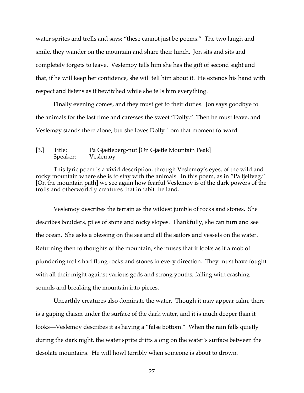water sprites and trolls and says: "these cannot just be poems." The two laugh and smile, they wander on the mountain and share their lunch. Jon sits and sits and completely forgets to leave. Veslemøy tells him she has the gift of second sight and that, if he will keep her confidence, she will tell him about it. He extends his hand with respect and listens as if bewitched while she tells him everything.

Finally evening comes, and they must get to their duties. Jon says goodbye to the animals for the last time and caresses the sweet "Dolly." Then he must leave, and Veslemøy stands there alone, but she loves Dolly from that moment forward.

### [3.] Title: På Gjætleberg-nut [On Gjætle Mountain Peak] Speaker: Veslemøy

This lyric poem is a vivid description, through Veslemøy's eyes, of the wild and rocky mountain where she is to stay with the animals. In this poem, as in "På fjellveg," [On the mountain path] we see again how fearful Veslemøy is of the dark powers of the trolls and otherworldly creatures that inhabit the land.

Veslemøy describes the terrain as the wildest jumble of rocks and stones. She describes boulders, piles of stone and rocky slopes. Thankfully, she can turn and see the ocean. She asks a blessing on the sea and all the sailors and vessels on the water. Returning then to thoughts of the mountain, she muses that it looks as if a mob of plundering trolls had flung rocks and stones in every direction. They must have fought with all their might against various gods and strong youths, falling with crashing sounds and breaking the mountain into pieces.

Unearthly creatures also dominate the water. Though it may appear calm, there is a gaping chasm under the surface of the dark water, and it is much deeper than it looks—Veslemøy describes it as having a "false bottom." When the rain falls quietly during the dark night, the water sprite drifts along on the water's surface between the desolate mountains. He will howl terribly when someone is about to drown.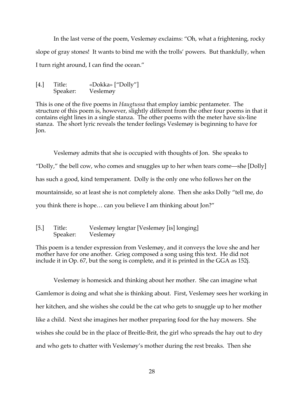In the last verse of the poem, Veslemøy exclaims: "Oh, what a frightening, rocky slope of gray stones! It wants to bind me with the trolls' powers. But thankfully, when I turn right around, I can find the ocean."

```
[4.] Title: «Dokka» ["Dolly"]
Speaker: Veslemøy
```
This is one of the five poems in *Haugtussa* that employ iambic pentameter. The structure of this poem is, however, slightly different from the other four poems in that it contains eight lines in a single stanza. The other poems with the meter have six-line stanza. The short lyric reveals the tender feelings Veslemøy is beginning to have for Jon.

Veslemøy admits that she is occupied with thoughts of Jon. She speaks to "Dolly," the bell cow, who comes and snuggles up to her when tears come—she [Dolly] has such a good, kind temperament. Dolly is the only one who follows her on the mountainside, so at least she is not completely alone. Then she asks Dolly "tell me, do you think there is hope… can you believe I am thinking about Jon?"

[5.] Title: Veslemøy lengtar [Veslemøy [is] longing] Speaker: Veslemøy

This poem is a tender expression from Veslemøy, and it conveys the love she and her mother have for one another. Grieg composed a song using this text. He did not include it in Op. 67, but the song is complete, and it is printed in the GGA as 152j.

Veslemøy is homesick and thinking about her mother. She can imagine what Gamlemor is doing and what she is thinking about. First, Veslemøy sees her working in her kitchen, and she wishes she could be the cat who gets to snuggle up to her mother like a child. Next she imagines her mother preparing food for the hay mowers. She wishes she could be in the place of Breitle-Brit, the girl who spreads the hay out to dry and who gets to chatter with Veslemøy's mother during the rest breaks. Then she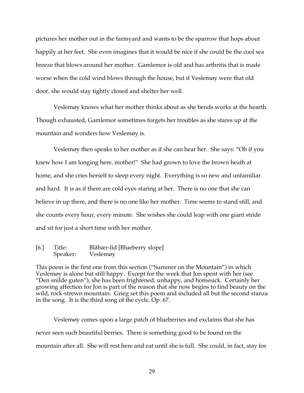pictures her mother out in the farmyard and wants to be the sparrow that hops about happily at her feet. She even imagines that it would be nice if she could be the cool sea breeze that blows around her mother. Gamlemor is old and has arthritis that is made worse when the cold wind blows through the house, but if Veslemøy were that old door, she would stay tightly closed and shelter her well.

Veslemøy knows what her mother thinks about as she bends works at the hearth. Though exhausted, Gamlemor sometimes forgets her troubles as she stares up at the mountain and wonders how Veslemøy is.

Veslemøy then speaks to her mother as if she can hear her. She says: "Oh if you knew how I am longing here, mother!" She had grown to love the brown heath at home, and she cries herself to sleep every night. Everything is so new and unfamiliar and hard. It is as if there are cold eyes staring at her. There is no one that she can believe in up there, and there is no one like her mother. Time seems to stand still, and she counts every hour, every minute. She wishes she could leap with one giant stride and sit for just a short time with her mother.

[6.] Title: Blåbær-lid [Blueberry slope] Speaker: Veslemøy

This poem is the first one from this section ("Summer on the Mountain") in which Veslemøy is alone but still happy. Except for the week that Jon spent with her (see "Den snilde guten"), she has been frightened, unhappy, and homesick. Certainly her growing affection for Jon is part of the reason that she now begins to find beauty on the wild, rock-strewn mountain. Grieg set this poem and included all but the second stanza in the song. It is the third song of the cycle, Op. 67.

Veslemøy comes upon a large patch of blueberries and exclaims that she has never seen such beautiful berries. There is something good to be found on the mountain after all. She will rest here and eat until she is full. She could, in fact, stay for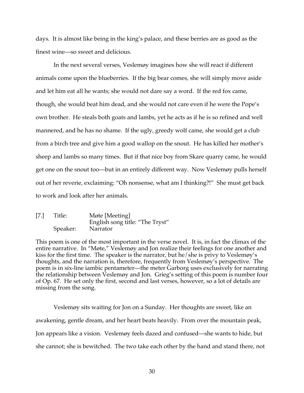days. It is almost like being in the king's palace, and these berries are as good as the finest wine—so sweet and delicious.

In the next several verses, Veslemøy imagines how she will react if different animals come upon the blueberries. If the big bear comes, she will simply move aside and let him eat all he wants; she would not dare say a word. If the red fox came, though, she would beat him dead, and she would not care even if he were the Pope's own brother. He steals both goats and lambs, yet he acts as if he is so refined and well mannered, and he has no shame. If the ugly, greedy wolf came, she would get a club from a birch tree and give him a good wallop on the snout. He has killed her mother's sheep and lambs so many times. But if that nice boy from Skare quarry came, he would get one on the snout too—but in an entirely different way. Now Veslemøy pulls herself out of her reverie, exclaiming: "Oh nonsense, what am I thinking?!" She must get back to work and look after her animals.

[7.] Title: Møte [Meeting] English song title: "The Tryst" Speaker: Narrator

This poem is one of the most important in the verse novel. It is, in fact the climax of the entire narrative. In "Møte," Veslemøy and Jon realize their feelings for one another and kiss for the first time. The speaker is the narrator, but he/she is privy to Veslemøy's thoughts, and the narration is, therefore, frequently from Veslemøy's perspective. The poem is in six-line iambic pentameter—the meter Garborg uses exclusively for narrating the relationship between Veslemøy and Jon. Grieg's setting of this poem is number four of Op. 67. He set only the first, second and last verses, however, so a lot of details are missing from the song.

Veslemøy sits waiting for Jon on a Sunday. Her thoughts are sweet, like an awakening, gentle dream, and her heart beats heavily. From over the mountain peak, Jon appears like a vision. Veslemøy feels dazed and confused—she wants to hide, but she cannot; she is bewitched. The two take each other by the hand and stand there, not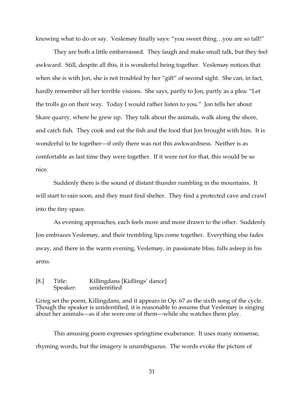knowing what to do or say. Veslemøy finally says: "you sweet thing…you are so tall!"

They are both a little embarrassed. They laugh and make small talk, but they feel awkward. Still, despite all this, it is wonderful being together. Veslemøy notices that when she is with Jon, she is not troubled by her "gift" of second sight. She can, in fact, hardly remember all her terrible visions. She says, partly to Jon, partly as a plea: "Let the trolls go on their way. Today I would rather listen to you." Jon tells her about Skare quarry, where he grew up. They talk about the animals, walk along the shore, and catch fish. They cook and eat the fish and the food that Jon brought with him. It is wonderful to be together—if only there was not this awkwardness. Neither is as comfortable as last time they were together. If it were not for that, this would be so nice.

Suddenly there is the sound of distant thunder rumbling in the mountains. It will start to rain soon, and they must find shelter. They find a protected cave and crawl into the tiny space.

As evening approaches, each feels more and more drawn to the other. Suddenly Jon embraces Veslemøy, and their trembling lips come together. Everything else fades away, and there in the warm evening, Veslemøy, in passionate bliss, falls asleep in his arms.

### [8.] Title: Killingdans [Kidlings' dance] Speaker: unidentified

Grieg set the poem, Killingdans, and it appears in Op. 67 as the sixth song of the cycle. Though the speaker is unidentified, it is reasonable to assume that Veslemøy is singing about her animals—as if she were one of them—while she watches them play.

This amusing poem expresses springtime exuberance. It uses many nonsense, rhyming words, but the imagery is unambiguous. The words evoke the picture of

31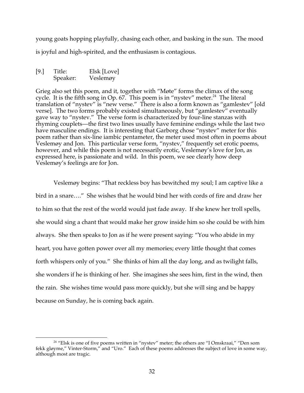young goats hopping playfully, chasing each other, and basking in the sun. The mood is joyful and high-spirited, and the enthusiasm is contagious.

[9.] Title: Elsk [Love] Speaker: Veslemøy

Grieg also set this poem, and it, together with "Møte" forms the climax of the song cycle. It is the fifth song in Op. 67. This poem is in "nystev" meter.<sup>24</sup> The literal translation of "nystev" is "new verse." There is also a form known as "gamlestev" [old verse]. The two forms probably existed simultaneously, but "gamlestev" eventually gave way to "nystev." The verse form is characterized by four-line stanzas with rhyming couplets—the first two lines usually have feminine endings while the last two have masculine endings. It is interesting that Garborg chose "nystev" meter for this poem rather than six-line iambic pentameter, the meter used most often in poems about Veslemøy and Jon. This particular verse form, "nystev," frequently set erotic poems, however, and while this poem is not necessarily erotic, Veslemøy's love for Jon, as expressed here, is passionate and wild. In this poem, we see clearly how deep Veslemøy's feelings are for Jon.

Veslemøy begins: "That reckless boy has bewitched my soul; I am captive like a bird in a snare…." She wishes that he would bind her with cords of fire and draw her to him so that the rest of the world would just fade away. If she knew her troll spells, she would sing a chant that would make her grow inside him so she could be with him always. She then speaks to Jon as if he were present saying: "You who abide in my heart, you have gotten power over all my memories; every little thought that comes forth whispers only of you." She thinks of him all the day long, and as twilight falls, she wonders if he is thinking of her. She imagines she sees him, first in the wind, then the rain. She wishes time would pass more quickly, but she will sing and be happy because on Sunday, he is coming back again.

 $24$  "Elsk is one of five poems written in "nystev" meter; the others are "I Omskraai," "Den som fekk gløyme," Vinter-Storm," and "Uro." Each of these poems addresses the subject of love in some way, although most are tragic.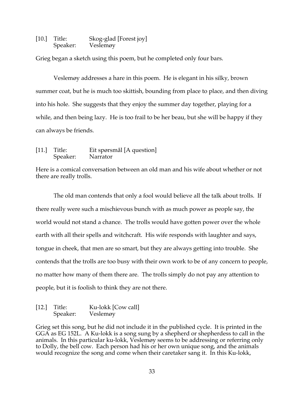[10.] Title: Skog-glad [Forest joy] Speaker: Veslemøy

Grieg began a sketch using this poem, but he completed only four bars.

Veslemøy addresses a hare in this poem. He is elegant in his silky, brown summer coat, but he is much too skittish, bounding from place to place, and then diving into his hole. She suggests that they enjoy the summer day together, playing for a while, and then being lazy. He is too frail to be her beau, but she will be happy if they can always be friends.

[11.] Title: Eit spørsmål [A question] Speaker: Narrator

Here is a comical conversation between an old man and his wife about whether or not there are really trolls.

The old man contends that only a fool would believe all the talk about trolls. If there really were such a mischievous bunch with as much power as people say, the world would not stand a chance. The trolls would have gotten power over the whole earth with all their spells and witchcraft. His wife responds with laughter and says, tongue in cheek, that men are so smart, but they are always getting into trouble. She contends that the trolls are too busy with their own work to be of any concern to people, no matter how many of them there are. The trolls simply do not pay any attention to people, but it is foolish to think they are not there.

[12.] Title: Ku-lokk [Cow call] Speaker: Veslemøy

Grieg set this song, but he did not include it in the published cycle. It is printed in the GGA as EG 152L. A Ku-lokk is a song sung by a shepherd or shepherdess to call in the animals. In this particular ku-lokk, Veslemøy seems to be addressing or referring only to Dolly, the bell cow. Each person had his or her own unique song, and the animals would recognize the song and come when their caretaker sang it. In this Ku-lokk,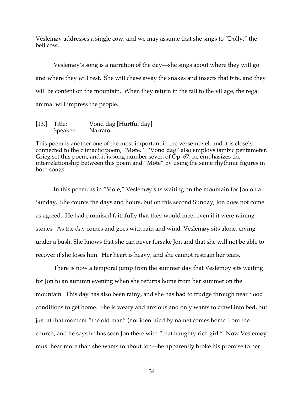Veslemøy addresses a single cow, and we may assume that she sings to "Dolly," the bell cow.

Veslemøy's song is a narration of the day—she sings about where they will go and where they will rest. She will chase away the snakes and insects that bite, and they will be content on the mountain. When they return in the fall to the village, the regal animal will impress the people.

### [13.] Title: Vond dag [Hurtful day] Speaker: Narrator

This poem is another one of the most important in the verse-novel, and it is closely connected to the climactic poem, "Møte." "Vond dag" also employs iambic pentameter. Grieg set this poem, and it is song number seven of  $\overline{Op}$ . 67; he emphasizes the interrelationship between this poem and "Møte" by using the same rhythmic figures in both songs.

In this poem, as in "Møte," Veslemøy sits waiting on the mountain for Jon on a Sunday. She counts the days and hours, but on this second Sunday, Jon does not come as agreed. He had promised faithfully that they would meet even if it were raining stones. As the day comes and goes with rain and wind, Veslemøy sits alone, crying under a bush. She knows that she can never forsake Jon and that she will not be able to recover if she loses him. Her heart is heavy, and she cannot restrain her tears.

There is now a temporal jump from the summer day that Veslemøy sits waiting for Jon to an autumn evening when she returns home from her summer on the mountain. This day has also been rainy, and she has had to trudge through near flood conditions to get home. She is weary and anxious and only wants to crawl into bed, but just at that moment "the old man" (not identified by name) comes home from the church, and he says he has seen Jon there with "that haughty rich girl." Now Veslemøy must hear more than she wants to about Jon—he apparently broke his promise to her

34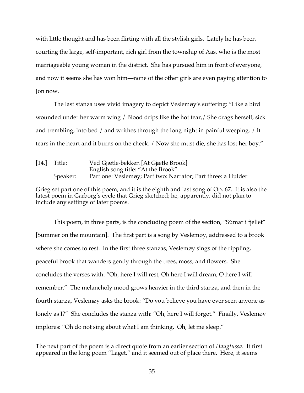with little thought and has been flirting with all the stylish girls. Lately he has been courting the large, self-important, rich girl from the township of Aas, who is the most marriageable young woman in the district. She has pursued him in front of everyone, and now it seems she has won him—none of the other girls are even paying attention to Jon now.

The last stanza uses vivid imagery to depict Veslemøy's suffering: "Like a bird wounded under her warm wing / Blood drips like the hot tear,/ She drags herself, sick and trembling, into bed / and writhes through the long night in painful weeping. / It tears in the heart and it burns on the cheek. / Now she must die; she has lost her boy."

[14.] Title: Ved Gjætle-bekken [At Gjætle Brook] English song title: "At the Brook" Speaker: Part one: Veslemøy; Part two: Narrator; Part three: a Hulder

Grieg set part one of this poem, and it is the eighth and last song of Op. 67. It is also the latest poem in Garborg's cycle that Grieg sketched; he, apparently, did not plan to include any settings of later poems.

This poem, in three parts, is the concluding poem of the section, "Sùmar i fjellet" [Summer on the mountain]. The first part is a song by Veslemøy, addressed to a brook where she comes to rest. In the first three stanzas, Veslemøy sings of the rippling, peaceful brook that wanders gently through the trees, moss, and flowers. She concludes the verses with: "Oh, here I will rest; Oh here I will dream; O here I will remember." The melancholy mood grows heavier in the third stanza, and then in the fourth stanza, Veslemøy asks the brook: "Do you believe you have ever seen anyone as lonely as I?" She concludes the stanza with: "Oh, here I will forget." Finally, Veslemøy implores: "Oh do not sing about what I am thinking. Oh, let me sleep."

The next part of the poem is a direct quote from an earlier section of *Haugtussa*. It first appeared in the long poem "Laget," and it seemed out of place there. Here, it seems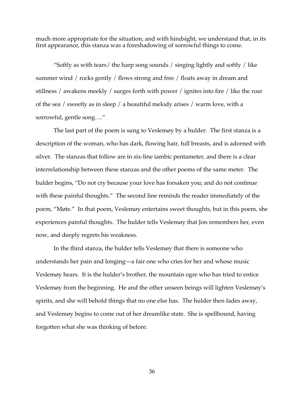much more appropriate for the situation, and with hindsight, we understand that, in its first appearance, this stanza was a foreshadowing of sorrowful things to come.

"Softly as with tears/ the harp song sounds / singing lightly and softly / like summer wind / rocks gently / flows strong and free / floats away in dream and stillness / awakens meekly / surges forth with power / ignites into fire / like the roar of the sea / sweetly as in sleep / a beautiful melody arises / warm love, with a sorrowful, gentle song…."

The last part of the poem is sung to Veslemøy by a hulder. The first stanza is a description of the woman, who has dark, flowing hair, full breasts, and is adorned with silver. The stanzas that follow are in six-line iambic pentameter, and there is a clear interrelationship between these stanzas and the other poems of the same meter. The hulder begins, "Do not cry because your love has forsaken you; and do not continue with these painful thoughts." The second line reminds the reader immediately of the poem, "Møte." In that poem, Veslemøy entertains sweet thoughts, but in this poem, she experiences painful thoughts. The hulder tells Veslemøy that Jon remembers her, even now, and deeply regrets his weakness.

In the third stanza, the hulder tells Veslemøy that there is someone who understands her pain and longing—a fair one who cries for her and whose music Veslemøy hears. It is the hulder's brother, the mountain ogre who has tried to entice Veslemøy from the beginning. He and the other unseen beings will lighten Veslemøy's spirits, and she will behold things that no one else has. The hulder then fades away, and Veslemøy begins to come out of her dreamlike state. She is spellbound, having forgotten what she was thinking of before.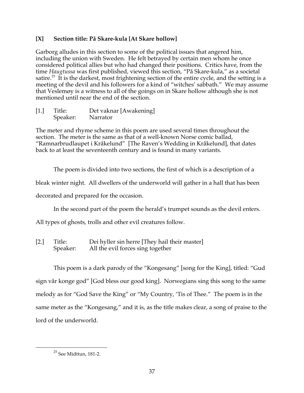# **[X] Section title: På Skare-kula [At Skare hollow]**

Garborg alludes in this section to some of the political issues that angered him, including the union with Sweden. He felt betrayed by certain men whom he once considered political allies but who had changed their positions. Critics have, from the time *Haugtussa* was first published, viewed this section, "På Skare-kula," as a societal satire.<sup>25</sup> It is the darkest, most frightening section of the entire cycle, and the setting is a meeting of the devil and his followers for a kind of "witches' sabbath." We may assume that Veslemøy is a witness to all of the goings on in Skare hollow although she is not mentioned until near the end of the section.

[1.] Title: Det vaknar [Awakening] Speaker: Narrator

The meter and rhyme scheme in this poem are used several times throughout the section. The meter is the same as that of a well-known Norse comic ballad, "Ramnarbrudlaupet i Kråkelund" [The Raven's Wedding in Kråkelund], that dates back to at least the seventeenth century and is found in many variants.

The poem is divided into two sections, the first of which is a description of a

bleak winter night. All dwellers of the underworld will gather in a hall that has been

decorated and prepared for the occasion.

In the second part of the poem the herald's trumpet sounds as the devil enters.

All types of ghosts, trolls and other evil creatures follow.

[2.] Title: Dei hyller sin herre [They hail their master] Speaker: All the evil forces sing together

This poem is a dark parody of the "Kongesang" [song for the King], titled: "Gud sign vår konge god" [God bless our good king]. Norwegians sing this song to the same melody as for "God Save the King" or "My Country, 'Tis of Thee." The poem is in the same meter as the "Kongesang," and it is, as the title makes clear, a song of praise to the lord of the underworld.

 $^{\rm 25}$  See Midttun, 181-2.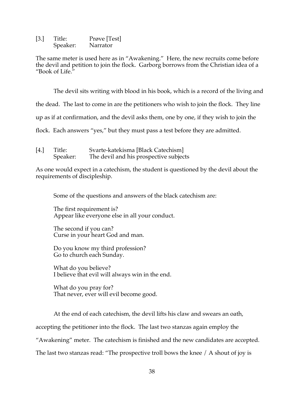[3.] Title: Prøve [Test] Speaker: Narrator

The same meter is used here as in "Awakening." Here, the new recruits come before the devil and petition to join the flock. Garborg borrows from the Christian idea of a "Book of Life."

The devil sits writing with blood in his book, which is a record of the living and

the dead. The last to come in are the petitioners who wish to join the flock. They line

up as if at confirmation, and the devil asks them, one by one, if they wish to join the

flock. Each answers "yes," but they must pass a test before they are admitted.

| [4.] | Title:   | Svarte-katekisma [Black Catechism]     |
|------|----------|----------------------------------------|
|      | Speaker: | The devil and his prospective subjects |

As one would expect in a catechism, the student is questioned by the devil about the requirements of discipleship.

Some of the questions and answers of the black catechism are:

The first requirement is? Appear like everyone else in all your conduct.

The second if you can? Curse in your heart God and man.

Do you know my third profession? Go to church each Sunday.

What do you believe? I believe that evil will always win in the end.

What do you pray for? That never, ever will evil become good.

At the end of each catechism, the devil lifts his claw and swears an oath,

accepting the petitioner into the flock. The last two stanzas again employ the

"Awakening" meter. The catechism is finished and the new candidates are accepted.

The last two stanzas read: "The prospective troll bows the knee / A shout of joy is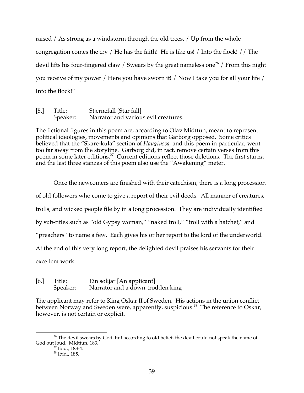raised / As strong as a windstorm through the old trees. / Up from the whole congregation comes the cry / He has the faith! He is like us! / Into the flock! // The devil lifts his four-fingered claw / Swears by the great nameless one<sup>26</sup> / From this night you receive of my power / Here you have sworn it! / Now I take you for all your life / Into the flock!"

[5.] Title: Stjernefall [Star fall] Speaker: Narrator and various evil creatures.

The fictional figures in this poem are, according to Olav Midttun, meant to represent political ideologies, movements and opinions that Garborg opposed. Some critics believed that the "Skare-kula" section of *Haugtussa*, and this poem in particular, went too far away from the storyline. Garborg did, in fact, remove certain verses from this poem in some later editions.<sup>27</sup> Current editions reflect those deletions. The first stanza and the last three stanzas of this poem also use the "Awakening" meter.

Once the newcomers are finished with their catechism, there is a long procession of old followers who come to give a report of their evil deeds. All manner of creatures, trolls, and wicked people file by in a long procession. They are individually identified by sub-titles such as "old Gypsy woman," "naked troll," "troll with a hatchet," and "preachers" to name a few. Each gives his or her report to the lord of the underworld. At the end of this very long report, the delighted devil praises his servants for their excellent work.

[6.] Title: Ein søkjar [An applicant] Speaker: Narrator and a down-trodden king

The applicant may refer to King Oskar II of Sweden. His actions in the union conflict between Norway and Sweden were, apparently, suspicious.<sup>28</sup> The reference to Oskar, however, is not certain or explicit.

<sup>&</sup>lt;sup>26</sup> The devil swears by God, but according to old belief, the devil could not speak the name of God out loud. Midttun, 183.

 $\frac{27}{27}$  Ibid., 183-4.<br> $\frac{28}{26}$  Ibid., 185.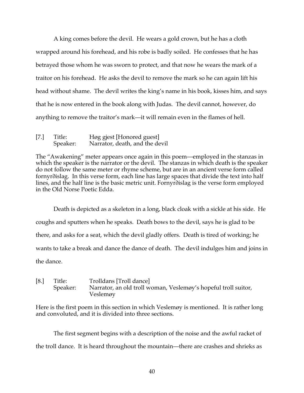A king comes before the devil. He wears a gold crown, but he has a cloth wrapped around his forehead, and his robe is badly soiled. He confesses that he has betrayed those whom he was sworn to protect, and that now he wears the mark of a traitor on his forehead. He asks the devil to remove the mark so he can again lift his head without shame. The devil writes the king's name in his book, kisses him, and says that he is now entered in the book along with Judas. The devil cannot, however, do anything to remove the traitor's mark—it will remain even in the flames of hell.

| $[7.]$ | Title:   | Høg gjest [Honored guest]      |
|--------|----------|--------------------------------|
|        | Speaker: | Narrator, death, and the devil |

The "Awakening" meter appears once again in this poem—employed in the stanzas in which the speaker is the narrator or the devil. The stanzas in which death is the speaker do not follow the same meter or rhyme scheme, but are in an ancient verse form called fornyr∂islag. In this verse form, each line has large spaces that divide the text into half lines, and the half line is the basic metric unit. Fornyr∂islag is the verse form employed in the Old Norse Poetic Edda.

Death is depicted as a skeleton in a long, black cloak with a sickle at his side. He coughs and sputters when he speaks. Death bows to the devil, says he is glad to be there, and asks for a seat, which the devil gladly offers. Death is tired of working; he wants to take a break and dance the dance of death. The devil indulges him and joins in the dance.

[8.] Title: Trolldans [Troll dance] Speaker: Narrator, an old troll woman, Veslemøy's hopeful troll suitor, Veslemøy

Here is the first poem in this section in which Veslemøy is mentioned. It is rather long and convoluted, and it is divided into three sections.

The first segment begins with a description of the noise and the awful racket of the troll dance. It is heard throughout the mountain—there are crashes and shrieks as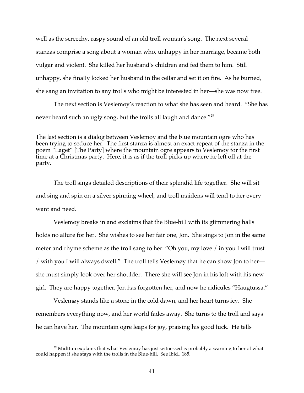well as the screechy, raspy sound of an old troll woman's song. The next several stanzas comprise a song about a woman who, unhappy in her marriage, became both vulgar and violent. She killed her husband's children and fed them to him. Still unhappy, she finally locked her husband in the cellar and set it on fire. As he burned, she sang an invitation to any trolls who might be interested in her—she was now free.

The next section is Veslemøy's reaction to what she has seen and heard. "She has never heard such an ugly song, but the trolls all laugh and dance."<sup>29</sup>

The last section is a dialog between Veslemøy and the blue mountain ogre who has been trying to seduce her. The first stanza is almost an exact repeat of the stanza in the poem "Laget" [The Party] where the mountain ogre appears to Veslemøy for the first time at a Christmas party. Here, it is as if the troll picks up where he left off at the party.

The troll sings detailed descriptions of their splendid life together. She will sit and sing and spin on a silver spinning wheel, and troll maidens will tend to her every want and need.

Veslemøy breaks in and exclaims that the Blue-hill with its glimmering halls holds no allure for her. She wishes to see her fair one, Jon. She sings to Jon in the same meter and rhyme scheme as the troll sang to her: "Oh you, my love / in you I will trust / with you I will always dwell." The troll tells Veslemøy that he can show Jon to her she must simply look over her shoulder. There she will see Jon in his loft with his new girl. They are happy together, Jon has forgotten her, and now he ridicules "Haugtussa."

Veslemøy stands like a stone in the cold dawn, and her heart turns icy. She remembers everything now, and her world fades away. She turns to the troll and says he can have her. The mountain ogre leaps for joy, praising his good luck. He tells

 $29$  Midttun explains that what Veslemøy has just witnessed is probably a warning to her of what could happen if she stays with the trolls in the Blue-hill. See Ibid., 185.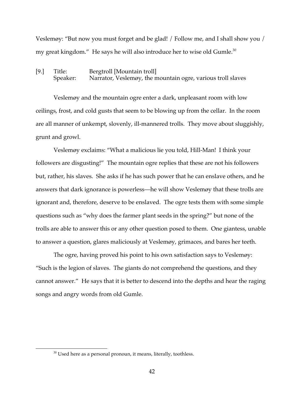Veslemøy: "But now you must forget and be glad! / Follow me, and I shall show you / my great kingdom." He says he will also introduce her to wise old Gumle. $30$ 

[9.] Title: Bergtroll [Mountain troll] Speaker: Narrator, Veslemøy, the mountain ogre, various troll slaves

Veslemøy and the mountain ogre enter a dark, unpleasant room with low ceilings, frost, and cold gusts that seem to be blowing up from the cellar. In the room are all manner of unkempt, slovenly, ill-mannered trolls. They move about sluggishly, grunt and growl.

Veslemøy exclaims: "What a malicious lie you told, Hill-Man! I think your followers are disgusting!" The mountain ogre replies that these are not his followers but, rather, his slaves. She asks if he has such power that he can enslave others, and he answers that dark ignorance is powerless—he will show Veslemøy that these trolls are ignorant and, therefore, deserve to be enslaved. The ogre tests them with some simple questions such as "why does the farmer plant seeds in the spring?" but none of the trolls are able to answer this or any other question posed to them. One giantess, unable to answer a question, glares maliciously at Veslemøy, grimaces, and bares her teeth.

The ogre, having proved his point to his own satisfaction says to Veslemøy: "Such is the legion of slaves. The giants do not comprehend the questions, and they cannot answer." He says that it is better to descend into the depths and hear the raging songs and angry words from old Gumle.

 $30$  Used here as a personal pronoun, it means, literally, toothless.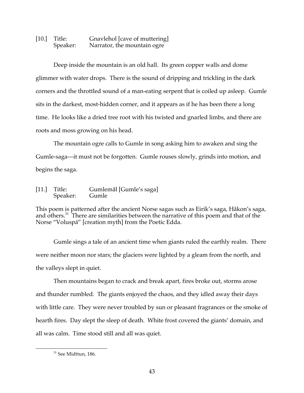# [10.] Title: Gnavlehol [cave of muttering] Speaker: Narrator, the mountain ogre

Deep inside the mountain is an old hall. Its green copper walls and dome glimmer with water drops. There is the sound of dripping and trickling in the dark corners and the throttled sound of a man-eating serpent that is coiled up asleep. Gumle sits in the darkest, most-hidden corner, and it appears as if he has been there a long time. He looks like a dried tree root with his twisted and gnarled limbs, and there are roots and moss growing on his head.

The mountain ogre calls to Gumle in song asking him to awaken and sing the Gumle-saga—it must not be forgotten. Gumle rouses slowly, grinds into motion, and begins the saga.

[11.] Title: Gumlemål [Gumle's saga] Speaker: Gumle

This poem is patterned after the ancient Norse sagas such as Eirik's saga, Håkon's saga, and others.31 There are similarities between the narrative of this poem and that of the Norse "Voluspá" [creation myth] from the Poetic Edda.

Gumle sings a tale of an ancient time when giants ruled the earthly realm. There were neither moon nor stars; the glaciers were lighted by a gleam from the north, and the valleys slept in quiet.

Then mountains began to crack and break apart, fires broke out, storms arose and thunder rumbled. The giants enjoyed the chaos, and they idled away their days with little care. They were never troubled by sun or pleasant fragrances or the smoke of hearth fires. Day slept the sleep of death. White frost covered the giants' domain, and all was calm. Time stood still and all was quiet.

<sup>&</sup>lt;sup>31</sup> See Midttun, 186.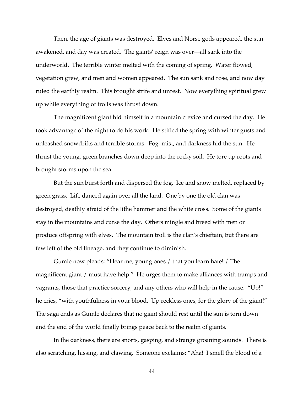Then, the age of giants was destroyed. Elves and Norse gods appeared, the sun awakened, and day was created. The giants' reign was over—all sank into the underworld. The terrible winter melted with the coming of spring. Water flowed, vegetation grew, and men and women appeared. The sun sank and rose, and now day ruled the earthly realm. This brought strife and unrest. Now everything spiritual grew up while everything of trolls was thrust down.

The magnificent giant hid himself in a mountain crevice and cursed the day. He took advantage of the night to do his work. He stifled the spring with winter gusts and unleashed snowdrifts and terrible storms. Fog, mist, and darkness hid the sun. He thrust the young, green branches down deep into the rocky soil. He tore up roots and brought storms upon the sea.

But the sun burst forth and dispersed the fog. Ice and snow melted, replaced by green grass. Life danced again over all the land. One by one the old clan was destroyed, deathly afraid of the lithe hammer and the white cross. Some of the giants stay in the mountains and curse the day. Others mingle and breed with men or produce offspring with elves. The mountain troll is the clan's chieftain, but there are few left of the old lineage, and they continue to diminish.

Gumle now pleads: "Hear me, young ones / that you learn hate! / The magnificent giant / must have help." He urges them to make alliances with tramps and vagrants, those that practice sorcery, and any others who will help in the cause. "Up!" he cries, "with youthfulness in your blood. Up reckless ones, for the glory of the giant!" The saga ends as Gumle declares that no giant should rest until the sun is torn down and the end of the world finally brings peace back to the realm of giants.

In the darkness, there are snorts, gasping, and strange groaning sounds. There is also scratching, hissing, and clawing. Someone exclaims: "Aha! I smell the blood of a

44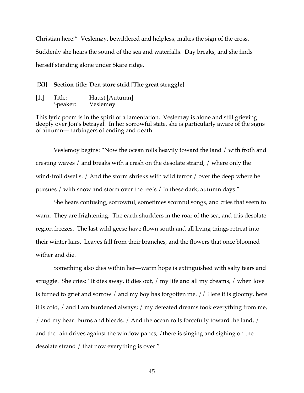Christian here!" Veslemøy, bewildered and helpless, makes the sign of the cross. Suddenly she hears the sound of the sea and waterfalls. Day breaks, and she finds herself standing alone under Skare ridge.

#### **[XI] Section title: Den store strid [The great struggle]**

| [1.] | Title:   | Haust [Autumn] |  |
|------|----------|----------------|--|
|      | Speaker: | Veslemøy       |  |

This lyric poem is in the spirit of a lamentation. Veslemøy is alone and still grieving deeply over Jon's betrayal. In her sorrowful state, she is particularly aware of the signs of autumn—harbingers of ending and death.

Veslemøy begins: "Now the ocean rolls heavily toward the land / with froth and cresting waves / and breaks with a crash on the desolate strand, / where only the wind-troll dwells. / And the storm shrieks with wild terror / over the deep where he pursues / with snow and storm over the reefs / in these dark, autumn days."

She hears confusing, sorrowful, sometimes scornful songs, and cries that seem to warn. They are frightening. The earth shudders in the roar of the sea, and this desolate region freezes. The last wild geese have flown south and all living things retreat into their winter lairs. Leaves fall from their branches, and the flowers that once bloomed wither and die.

Something also dies within her—warm hope is extinguished with salty tears and struggle. She cries: "It dies away, it dies out, / my life and all my dreams, / when love is turned to grief and sorrow / and my boy has forgotten me. // Here it is gloomy, here it is cold, / and I am burdened always; / my defeated dreams took everything from me, / and my heart burns and bleeds. / And the ocean rolls forcefully toward the land, / and the rain drives against the window panes; / there is singing and sighing on the desolate strand / that now everything is over."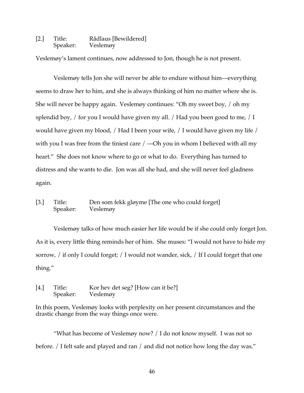### [2.] Title: Rådlaus [Bewildered] Speaker: Veslemøy

Veslemøy's lament continues, now addressed to Jon, though he is not present.

Veslemøy tells Jon she will never be able to endure without him—everything seems to draw her to him, and she is always thinking of him no matter where she is. She will never be happy again. Veslemøy continues: "Oh my sweet boy, / oh my splendid boy,  $/$  for you I would have given my all.  $/$  Had you been good to me,  $/$  I would have given my blood, / Had I been your wife, / I would have given my life / with you I was free from the tiniest care  $/$  —Oh you in whom I believed with all my heart." She does not know where to go or what to do. Everything has turned to distress and she wants to die. Jon was all she had, and she will never feel gladness again.

# [3.] Title: Den som fekk gløyme [The one who could forget] Speaker: Veslemøy

Veslemøy talks of how much easier her life would be if she could only forget Jon. As it is, every little thing reminds her of him. She muses: "I would not have to hide my sorrow, / if only I could forget; / I would not wander, sick, / If I could forget that one thing."

[4.] Title: Kor hev det seg? [How can it be?] Speaker: Veslemøy

In this poem, Veslemøy looks with perplexity on her present circumstances and the drastic change from the way things once were.

"What has become of Veslemøy now? / I do not know myself. I was not so before. / I felt safe and played and ran / and did not notice how long the day was."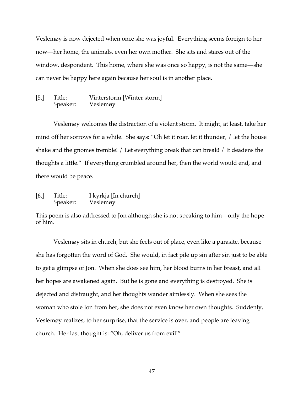Veslemøy is now dejected when once she was joyful. Everything seems foreign to her now—her home, the animals, even her own mother. She sits and stares out of the window, despondent. This home, where she was once so happy, is not the same—she can never be happy here again because her soul is in another place.

### [5.] Title: Vinterstorm [Winter storm] Speaker: Veslemøy

Veslemøy welcomes the distraction of a violent storm. It might, at least, take her mind off her sorrows for a while. She says: "Oh let it roar, let it thunder, / let the house shake and the gnomes tremble! / Let everything break that can break! / It deadens the thoughts a little." If everything crumbled around her, then the world would end, and there would be peace.

[6.] Title: I kyrkja [In church] Speaker: Veslemøy

This poem is also addressed to Jon although she is not speaking to him—only the hope of him.

Veslemøy sits in church, but she feels out of place, even like a parasite, because she has forgotten the word of God. She would, in fact pile up sin after sin just to be able to get a glimpse of Jon. When she does see him, her blood burns in her breast, and all her hopes are awakened again. But he is gone and everything is destroyed. She is dejected and distraught, and her thoughts wander aimlessly. When she sees the woman who stole Jon from her, she does not even know her own thoughts. Suddenly, Veslemøy realizes, to her surprise, that the service is over, and people are leaving church. Her last thought is: "Oh, deliver us from evil!"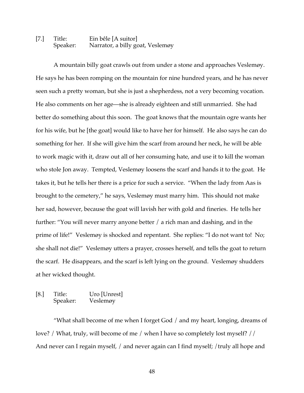# [7.] Title: Ein bêle [A suitor] Speaker: Narrator, a billy goat, Veslemøy

A mountain billy goat crawls out from under a stone and approaches Veslemøy. He says he has been romping on the mountain for nine hundred years, and he has never seen such a pretty woman, but she is just a shepherdess, not a very becoming vocation. He also comments on her age—she is already eighteen and still unmarried. She had better do something about this soon. The goat knows that the mountain ogre wants her for his wife, but he [the goat] would like to have her for himself. He also says he can do something for her. If she will give him the scarf from around her neck, he will be able to work magic with it, draw out all of her consuming hate, and use it to kill the woman who stole Jon away. Tempted, Veslemøy loosens the scarf and hands it to the goat. He takes it, but he tells her there is a price for such a service. "When the lady from Aas is brought to the cemetery," he says, Veslemøy must marry him. This should not make her sad, however, because the goat will lavish her with gold and fineries. He tells her further: "You will never marry anyone better / a rich man and dashing, and in the prime of life!" Veslemøy is shocked and repentant. She replies: "I do not want to! No; she shall not die!" Veslemøy utters a prayer, crosses herself, and tells the goat to return the scarf. He disappears, and the scarf is left lying on the ground. Veslemøy shudders at her wicked thought.

#### [8.] Title: Uro [Unrest] Speaker: Veslemøy

"What shall become of me when I forget God / and my heart, longing, dreams of love? / What, truly, will become of me / when I have so completely lost myself? // And never can I regain myself, / and never again can I find myself; / truly all hope and

48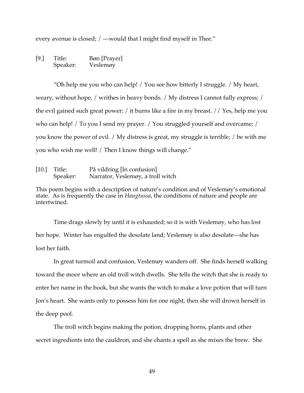every avenue is closed; / —would that I might find myself in Thee."

[9.] Title: Bøn [Prayer] Speaker: Veslemøy

"Oh help me you who can help! / You see how bitterly I struggle. / My heart, weary, without hope, / writhes in heavy bonds. / My distress I cannot fully express; / the evil gained such great power; / it burns like a fire in my breast. // Yes, help me you who can help! / To you I send my prayer. / You struggled yourself and overcame; / you know the power of evil. / My distress is great, my struggle is terrible; / be with me you who wish me well! / Then I know things will change."

| $[10.]$ Title: | På vildring [In confusion]        |
|----------------|-----------------------------------|
| Speaker:       | Narrator, Veslemøy, a troll witch |

This poem begins with a description of nature's condition and of Veslemøy's emotional state. As is frequently the case in *Haugtussa*, the conditions of nature and people are intertwined.

Time drags slowly by until it is exhausted; so it is with Veslemøy, who has lost her hope. Winter has engulfed the desolate land; Veslemøy is also desolate—she has lost her faith.

In great turmoil and confusion, Veslemøy wanders off. She finds herself walking toward the moor where an old troll witch dwells. She tells the witch that she is ready to enter her name in the book, but she wants the witch to make a love potion that will turn Jon's heart. She wants only to possess him for one night, then she will drown herself in the deep pool.

The troll witch begins making the potion, dropping horns, plants and other secret ingredients into the cauldron, and she chants a spell as she mixes the brew. She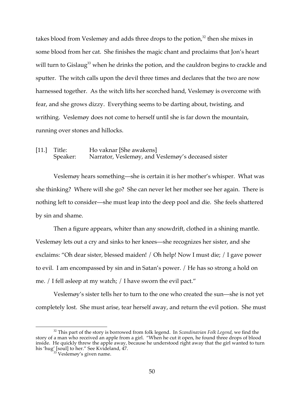takes blood from Veslemøy and adds three drops to the potion,<sup>32</sup> then she mixes in some blood from her cat. She finishes the magic chant and proclaims that Jon's heart will turn to Gislaug<sup>33</sup> when he drinks the potion, and the cauldron begins to crackle and sputter. The witch calls upon the devil three times and declares that the two are now harnessed together. As the witch lifts her scorched hand, Veslemøy is overcome with fear, and she grows dizzy. Everything seems to be darting about, twisting, and writhing. Veslemøy does not come to herself until she is far down the mountain, running over stones and hillocks.

[11.] Title: Ho vaknar [She awakens] Speaker: Narrator, Veslemøy, and Veslemøy's deceased sister

Veslemøy hears something—she is certain it is her mother's whisper. What was she thinking? Where will she go? She can never let her mother see her again. There is nothing left to consider—she must leap into the deep pool and die. She feels shattered by sin and shame.

Then a figure appears, whiter than any snowdrift, clothed in a shining mantle. Veslemøy lets out a cry and sinks to her knees—she recognizes her sister, and she exclaims: "Oh dear sister, blessed maiden! / Oh help! Now I must die; / I gave power to evil. I am encompassed by sin and in Satan's power. / He has so strong a hold on me. / I fell asleep at my watch; / I have sworn the evil pact."

Veslemøy's sister tells her to turn to the one who created the sun—she is not yet completely lost. She must arise, tear herself away, and return the evil potion. She must

 <sup>32</sup> This part of the story is borrowed from folk legend. In *Scandinavian Folk Legend*, we find the story of a man who received an apple from a girl. "When he cut it open, he found three drops of blood inside. He quickly threw the apple away, because he understood right away that the girl wanted to turn his 'hug' [soul] to her." See Kvideland, 47.<br> $\frac{33}{3}$  Veslemøy's given name.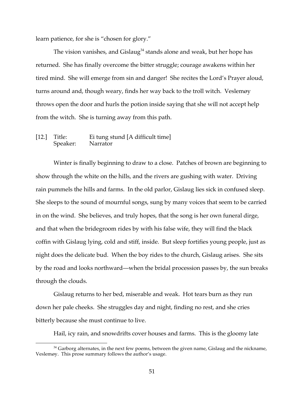learn patience, for she is "chosen for glory."

The vision vanishes, and Gislaug<sup>34</sup> stands alone and weak, but her hope has returned. She has finally overcome the bitter struggle; courage awakens within her tired mind. She will emerge from sin and danger! She recites the Lord's Prayer aloud, turns around and, though weary, finds her way back to the troll witch. Veslemøy throws open the door and hurls the potion inside saying that she will not accept help from the witch. She is turning away from this path.

#### [12.] Title: Ei tung stund [A difficult time] Speaker: Narrator

Winter is finally beginning to draw to a close. Patches of brown are beginning to show through the white on the hills, and the rivers are gushing with water. Driving rain pummels the hills and farms. In the old parlor, Gislaug lies sick in confused sleep. She sleeps to the sound of mournful songs, sung by many voices that seem to be carried in on the wind. She believes, and truly hopes, that the song is her own funeral dirge, and that when the bridegroom rides by with his false wife, they will find the black coffin with Gislaug lying, cold and stiff, inside. But sleep fortifies young people, just as night does the delicate bud. When the boy rides to the church, Gislaug arises. She sits by the road and looks northward—when the bridal procession passes by, the sun breaks through the clouds.

Gislaug returns to her bed, miserable and weak. Hot tears burn as they run down her pale cheeks. She struggles day and night, finding no rest, and she cries bitterly because she must continue to live.

Hail, icy rain, and snowdrifts cover houses and farms. This is the gloomy late

 $34$  Garborg alternates, in the next few poems, between the given name, Gislaug and the nickname, Veslemøy. This prose summary follows the author's usage.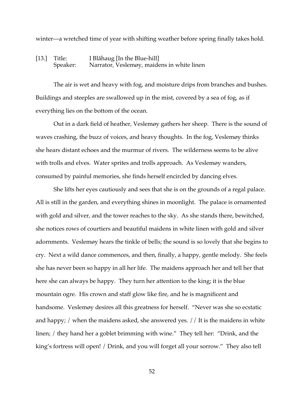winter—a wretched time of year with shifting weather before spring finally takes hold.

### [13.] Title: I Blåhaug [In the Blue-hill] Speaker: Narrator, Veslemøy, maidens in white linen

The air is wet and heavy with fog, and moisture drips from branches and bushes. Buildings and steeples are swallowed up in the mist, covered by a sea of fog, as if everything lies on the bottom of the ocean.

Out in a dark field of heather, Veslemøy gathers her sheep. There is the sound of waves crashing, the buzz of voices, and heavy thoughts. In the fog, Veslemøy thinks she hears distant echoes and the murmur of rivers. The wilderness seems to be alive with trolls and elves. Water sprites and trolls approach. As Veslemøy wanders, consumed by painful memories, she finds herself encircled by dancing elves.

She lifts her eyes cautiously and sees that she is on the grounds of a regal palace. All is still in the garden, and everything shines in moonlight. The palace is ornamented with gold and silver, and the tower reaches to the sky. As she stands there, bewitched, she notices rows of courtiers and beautiful maidens in white linen with gold and silver adornments. Veslemøy hears the tinkle of bells; the sound is so lovely that she begins to cry. Next a wild dance commences, and then, finally, a happy, gentle melody. She feels she has never been so happy in all her life. The maidens approach her and tell her that here she can always be happy. They turn her attention to the king; it is the blue mountain ogre. His crown and staff glow like fire, and he is magnificent and handsome. Veslemøy desires all this greatness for herself. "Never was she so ecstatic and happy; / when the maidens asked, she answered yes. // It is the maidens in white linen; / they hand her a goblet brimming with wine." They tell her: "Drink, and the king's fortress will open! / Drink, and you will forget all your sorrow." They also tell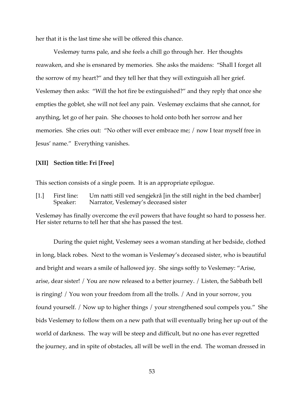her that it is the last time she will be offered this chance.

Veslemøy turns pale, and she feels a chill go through her. Her thoughts reawaken, and she is ensnared by memories. She asks the maidens: "Shall I forget all the sorrow of my heart?" and they tell her that they will extinguish all her grief. Veslemøy then asks: "Will the hot fire be extinguished?" and they reply that once she empties the goblet, she will not feel any pain. Veslemøy exclaims that she cannot, for anything, let go of her pain. She chooses to hold onto both her sorrow and her memories. She cries out: "No other will ever embrace me; / now I tear myself free in Jesus' name." Everything vanishes.

#### **[XII] Section title: Fri [Free]**

This section consists of a single poem. It is an appropriate epilogue.

[1.] First line: Um natti still ved sengjekrå [in the still night in the bed chamber]<br>Speaker: Narrator, Veslemøy's deceased sister Narrator, Veslemøy's deceased sister

Veslemøy has finally overcome the evil powers that have fought so hard to possess her. Her sister returns to tell her that she has passed the test.

During the quiet night, Veslemøy sees a woman standing at her bedside, clothed in long, black robes. Next to the woman is Veslemøy's deceased sister, who is beautiful and bright and wears a smile of hallowed joy. She sings softly to Veslemøy: "Arise, arise, dear sister! / You are now released to a better journey. / Listen, the Sabbath bell is ringing! / You won your freedom from all the trolls. / And in your sorrow, you found yourself. / Now up to higher things / your strengthened soul compels you." She bids Veslemøy to follow them on a new path that will eventually bring her up out of the world of darkness. The way will be steep and difficult, but no one has ever regretted the journey, and in spite of obstacles, all will be well in the end. The woman dressed in